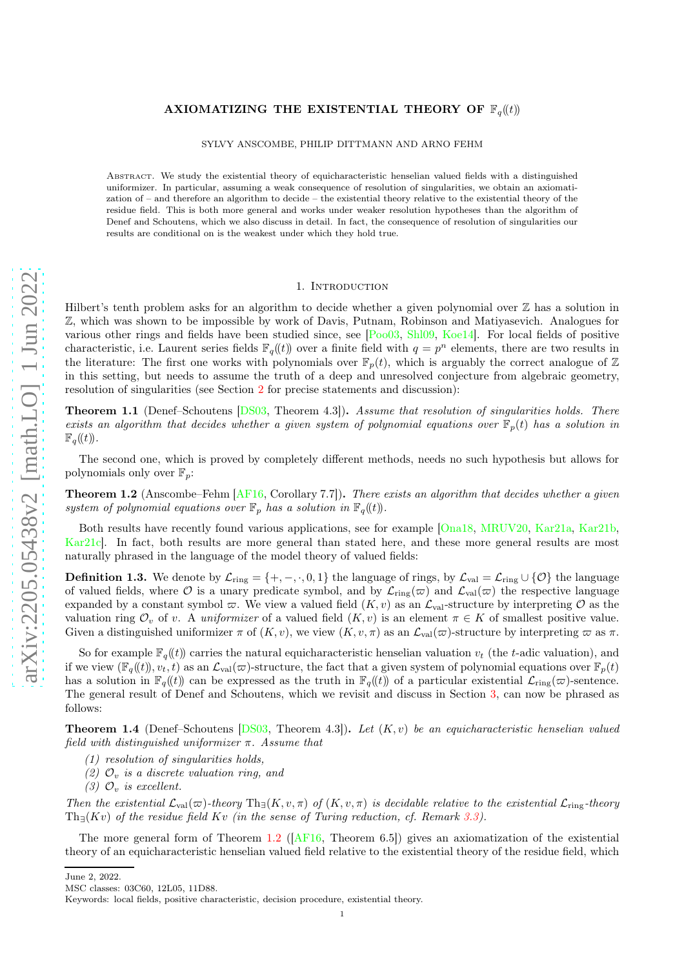# AXIOMATIZING THE EXISTENTIAL THEORY OF  $\mathbb{F}_q(\ell)$

SYLVY ANSCOMBE, PHILIP DITTMANN AND ARNO FEHM

Abstract. We study the existential theory of equicharacteristic henselian valued fields with a distinguished uniformizer. In particular, assuming a weak consequence of resolution of singularities, we obtain an axiomatization of – and therefore an algorithm to decide – the existential theory relative to the existential theory of the residue field. This is both more general and works under weaker resolution hypotheses than the algorithm of Denef and Schoutens, which we also discuss in detail. In fact, the consequence of resolution of singularities our results are conditional on is the weakest under which they hold true.

### 1. INTRODUCTION

Hilbert's tenth problem asks for an algorithm to decide whether a given polynomial over  $\mathbb Z$  has a solution in Z, which was shown to be impossible by work of Davis, Putnam, Robinson and Matiyasevich. Analogues for various other rings and fields have been studied since, see [\[Poo03,](#page-11-0) [Shl09,](#page-11-1) [Koe14\]](#page-10-0). For local fields of positive characteristic, i.e. Laurent series fields  $\mathbb{F}_q(\!(t)\!)$  over a finite field with  $q = p^n$  elements, there are two results in the literature: The first one works with polynomials over  $\mathbb{F}_p(t)$ , which is arguably the correct analogue of Z in this setting, but needs to assume the truth of a deep and unresolved conjecture from algebraic geometry, resolution of singularities (see Section [2](#page-1-0) for precise statements and discussion):

<span id="page-0-5"></span>**Theorem 1.1** (Denef–Schoutens [\[DS03,](#page-10-1) Theorem 4.3]). Assume that resolution of singularities holds. There exists an algorithm that decides whether a given system of polynomial equations over  $\mathbb{F}_p(t)$  has a solution in  $\mathbb{F}_q(\!(t)\!).$ 

The second one, which is proved by completely different methods, needs no such hypothesis but allows for polynomials only over  $\mathbb{F}_p$ :

<span id="page-0-0"></span>Theorem 1.2 (Anscombe–Fehm [\[AF16,](#page-10-2) Corollary 7.7]). There exists an algorithm that decides whether a given system of polynomial equations over  $\mathbb{F}_p$  has a solution in  $\mathbb{F}_q(\mathfrak{t})$ .

Both results have recently found various applications, see for example [\[Ona18,](#page-10-3) [MRUV20,](#page-10-4) [Kar21a,](#page-10-5) [Kar21b,](#page-10-6) [Kar21c\]](#page-10-7). In fact, both results are more general than stated here, and these more general results are most naturally phrased in the language of the model theory of valued fields:

**Definition 1.3.** We denote by  $\mathcal{L}_{ring} = \{+,-,\cdot,0,1\}$  the language of rings, by  $\mathcal{L}_{val} = \mathcal{L}_{ring} \cup \{0\}$  the language of valued fields, where  $\mathcal O$  is a unary predicate symbol, and by  $\mathcal L_{ring}(\varpi)$  and  $\mathcal L_{val}(\varpi)$  the respective language expanded by a constant symbol  $\varpi$ . We view a valued field  $(K, v)$  as an  $\mathcal{L}_{val}$ -structure by interpreting  $\mathcal O$  as the valuation ring  $\mathcal{O}_v$  of v. A uniformizer of a valued field  $(K, v)$  is an element  $\pi \in K$  of smallest positive value. Given a distinguished uniformizer  $\pi$  of  $(K, v)$ , we view  $(K, v, \pi)$  as an  $\mathcal{L}_{val}(\varpi)$ -structure by interpreting  $\varpi$  as  $\pi$ .

So for example  $\mathbb{F}_q((t))$  carries the natural equicharacteristic henselian valuation v<sub>t</sub> (the t-adic valuation), and if we view  $(\mathbb{F}_q(t), v_t, t)$  as an  $\mathcal{L}_{val}(\varpi)$ -structure, the fact that a given system of polynomial equations over  $\mathbb{F}_p(t)$ has a solution in  $\mathbb{F}_q((t))$  can be expressed as the truth in  $\mathbb{F}_q((t))$  of a particular existential  $\mathcal{L}_{\text{ring}}(\varpi)$ -sentence. The general result of Denef and Schoutens, which we revisit and discuss in Section [3,](#page-2-0) can now be phrased as follows:

<span id="page-0-2"></span><span id="page-0-1"></span>**Theorem 1.4** (Denef–Schoutens  $[DS03, Theorem 4.3]$ ). Let  $(K, v)$  be an equicharacteristic henselian valued field with distinguished uniformizer  $\pi$ . Assume that

- <span id="page-0-3"></span>(1) resolution of singularities holds,
- <span id="page-0-4"></span>(2)  $\mathcal{O}_v$  is a discrete valuation ring, and
- (3)  $\mathcal{O}_v$  is excellent.

Then the existential  $\mathcal{L}_{val}(\varpi)$ -theory  $Th_{\exists}(K, v, \pi)$  of  $(K, v, \pi)$  is decidable relative to the existential  $\mathcal{L}_{ring}$ -theory  $\text{Th}_{\exists}(Kv)$  of the residue field  $Kv$  (in the sense of Turing reduction, cf. Remark [3.3\)](#page-3-0).

The more general form of Theorem [1.2](#page-0-0) ([\[AF16,](#page-10-2) Theorem 6.5]) gives an axiomatization of the existential theory of an equicharacteristic henselian valued field relative to the existential theory of the residue field, which

June 2, 2022.

MSC classes: 03C60, 12L05, 11D88.

Keywords: local fields, positive characteristic, decision procedure, existential theory.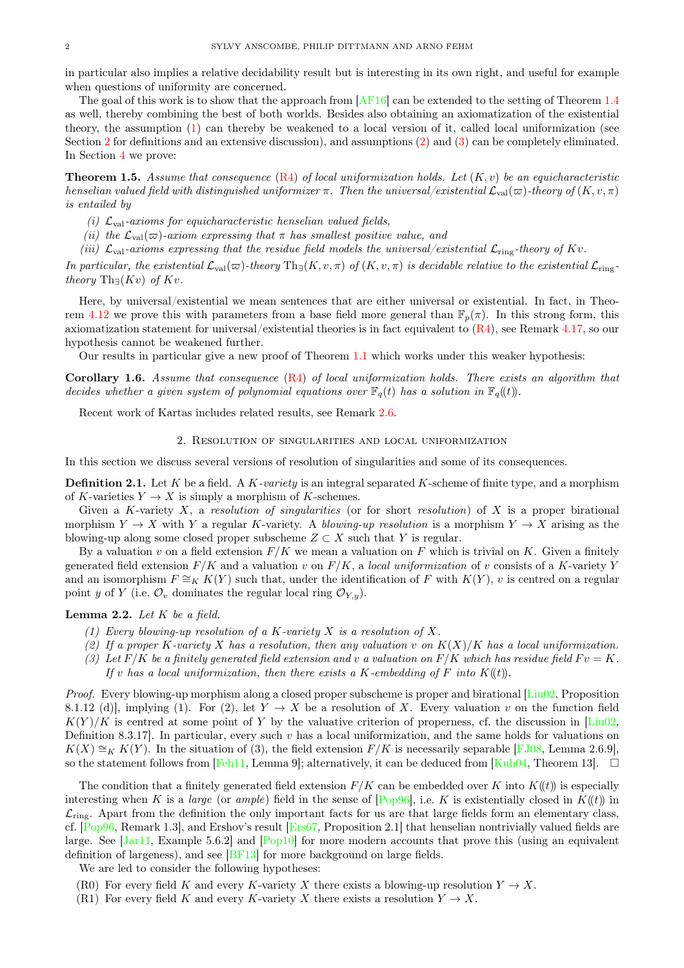in particular also implies a relative decidability result but is interesting in its own right, and useful for example when questions of uniformity are concerned.

The goal of this work is to show that the approach from [\[AF16\]](#page-10-2) can be extended to the setting of Theorem [1.4](#page-0-1) as well, thereby combining the best of both worlds. Besides also obtaining an axiomatization of the existential theory, the assumption [\(1\)](#page-0-2) can thereby be weakened to a local version of it, called local uniformization (see Section [2](#page-1-0) for definitions and an extensive discussion), and assumptions [\(2\)](#page-0-3) and [\(3\)](#page-0-4) can be completely eliminated. In Section [4](#page-6-0) we prove:

<span id="page-1-4"></span>**Theorem 1.5.** Assume that consequence  $(R4)$  of local uniformization holds. Let  $(K, v)$  be an equicharacteristic henselian valued field with distinguished uniformizer  $\pi$ . Then the universal/existential  $\mathcal{L}_{val}(\varpi)$ -theory of  $(K, v, \pi)$ is entailed by

- (i)  $\mathcal{L}_{val}$ -axioms for equicharacteristic henselian valued fields,
- (ii) the  $\mathcal{L}_{val}(\varpi)$ -axiom expressing that  $\pi$  has smallest positive value, and
- (iii)  $\mathcal{L}_{val}$ -axioms expressing that the residue field models the universal/existential  $\mathcal{L}_{ring}$ -theory of Kv.

In particular, the existential  $\mathcal{L}_{val}(\varpi)$ -theory  $Th_{\exists}(K, v, \pi)$  of  $(K, v, \pi)$  is decidable relative to the existential  $\mathcal{L}_{ring}$ theory Th $\exists (Kv)$  of  $Kv$ .

Here, by universal/existential we mean sentences that are either universal or existential. In fact, in Theo-rem [4.12](#page-8-0) we prove this with parameters from a base field more general than  $\mathbb{F}_p(\pi)$ . In this strong form, this axiomatization statement for universal/existential theories is in fact equivalent to  $(R4)$ , see Remark [4.17,](#page-10-8) so our hypothesis cannot be weakened further.

Our results in particular give a new proof of Theorem [1.1](#page-0-5) which works under this weaker hypothesis:

<span id="page-1-5"></span>Corollary 1.6. Assume that consequence [\(R4\)](#page-2-1) of local uniformization holds. There exists an algorithm that decides whether a given system of polynomial equations over  $\mathbb{F}_q(t)$  has a solution in  $\mathbb{F}_q((t))$ .

<span id="page-1-0"></span>Recent work of Kartas includes related results, see Remark [2.6.](#page-2-2)

#### 2. Resolution of singularities and local uniformization

In this section we discuss several versions of resolution of singularities and some of its consequences.

**Definition 2.1.** Let K be a field. A K-variety is an integral separated K-scheme of finite type, and a morphism of K-varieties  $Y \to X$  is simply a morphism of K-schemes.

Given a K-variety  $X$ , a resolution of singularities (or for short resolution) of  $X$  is a proper birational morphism  $Y \to X$  with Y a regular K-variety. A blowing-up resolution is a morphism  $Y \to X$  arising as the blowing-up along some closed proper subscheme  $Z \subset X$  such that Y is regular.

By a valuation v on a field extension  $F/K$  we mean a valuation on F which is trivial on K. Given a finitely generated field extension  $F/K$  and a valuation v on  $F/K$ , a local uniformization of v consists of a K-variety Y and an isomorphism  $F \cong_K K(Y)$  such that, under the identification of F with  $K(Y)$ , v is centred on a regular point y of Y (i.e.  $\mathcal{O}_v$  dominates the regular local ring  $\mathcal{O}_{Y,y}$ ).

#### <span id="page-1-3"></span>**Lemma 2.2.** Let  $K$  be a field.

- (1) Every blowing-up resolution of a K-variety X is a resolution of X.
- (2) If a proper K-variety X has a resolution, then any valuation v on  $K(X)/K$  has a local uniformization.
- (3) Let  $F/K$  be a finitely generated field extension and v a valuation on  $F/K$  which has residue field  $Fv = K$ . If v has a local uniformization, then there exists a K-embedding of F into  $K(\mathfrak{t})$ .

Proof. Every blowing-up morphism along a closed proper subscheme is proper and birational [\[Liu02,](#page-10-9) Proposition] 8.1.12 (d)], implying (1). For (2), let  $Y \to X$  be a resolution of X. Every valuation v on the function field  $K(Y)/K$  is centred at some point of Y by the valuative criterion of properness, cf. the discussion in [\[Liu02,](#page-10-9) Definition 8.3.17. In particular, every such  $v$  has a local uniformization, and the same holds for valuations on  $K(X) \cong_K K(Y)$ . In the situation of (3), the field extension  $F/K$  is necessarily separable [\[FJ08,](#page-10-10) Lemma 2.6.9], so the statement follows from [\[Feh11,](#page-10-11) Lemma 9]; alternatively, it can be deduced from [\[Kuh04,](#page-10-12) Theorem 13].  $\Box$ 

The condition that a finitely generated field extension  $F/K$  can be embedded over K into  $K(\ell t)$  is especially interesting when K is a *large* (or *ample*) field in the sense of  $[Pop96]$ , i.e. K is existentially closed in  $K(\ell t)$  in  $\mathcal{L}_{\text{ring}}$ . Apart from the definition the only important facts for us are that large fields form an elementary class, cf. [\[Pop96,](#page-11-2) Remark 1.3], and Ershov's result [\[Ers67,](#page-10-13) Proposition 2.1] that henselian nontrivially valued fields are large. See [\[Jar11,](#page-10-14) Example 5.6.2] and [\[Pop10\]](#page-11-3) for more modern accounts that prove this (using an equivalent definition of largeness), and see [\[BF13\]](#page-10-15) for more background on large fields.

<span id="page-1-1"></span>We are led to consider the following hypotheses:

- <span id="page-1-2"></span>(R0) For every field K and every K-variety X there exists a blowing-up resolution  $Y \to X$ .
- (R1) For every field K and every K-variety X there exists a resolution  $Y \to X$ .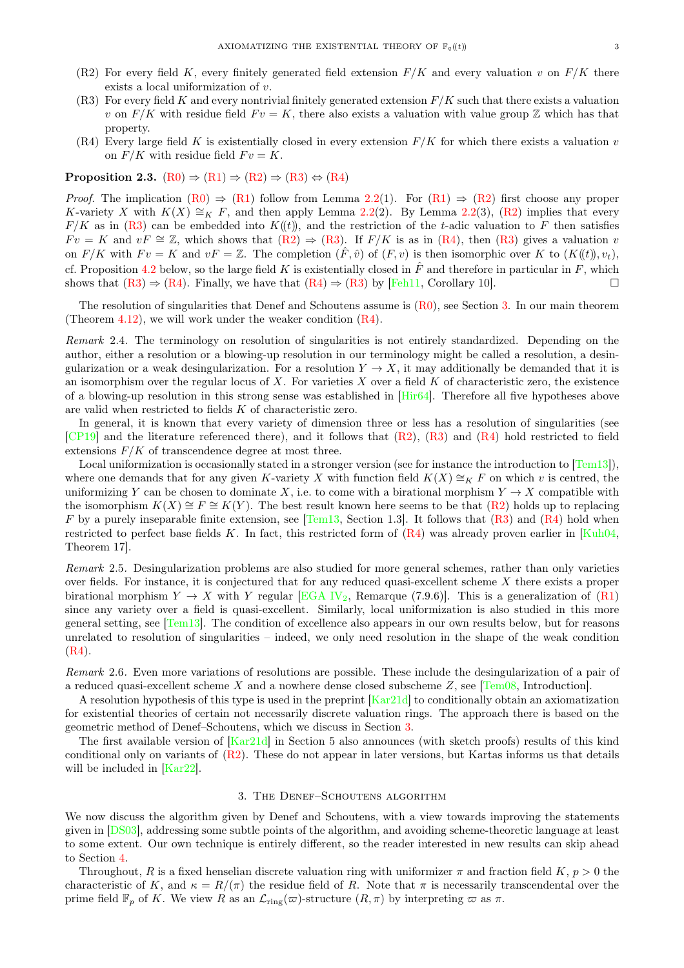- <span id="page-2-4"></span><span id="page-2-3"></span>(R2) For every field K, every finitely generated field extension  $F/K$  and every valuation v on  $F/K$  there exists a local uniformization of v.
- (R3) For every field K and every nontrivial finitely generated extension  $F/K$  such that there exists a valuation v on  $F/K$  with residue field  $Fv = K$ , there also exists a valuation with value group Z which has that property.
- <span id="page-2-1"></span>(R4) Every large field K is existentially closed in every extension  $F/K$  for which there exists a valuation v on  $F/K$  with residue field  $Fv = K$ .

#### Proposition 2.3.  $(R0) \Rightarrow (R1) \Rightarrow (R2) \Rightarrow (R3) \Leftrightarrow (R4)$  $(R0) \Rightarrow (R1) \Rightarrow (R2) \Rightarrow (R3) \Leftrightarrow (R4)$  $(R0) \Rightarrow (R1) \Rightarrow (R2) \Rightarrow (R3) \Leftrightarrow (R4)$  $(R0) \Rightarrow (R1) \Rightarrow (R2) \Rightarrow (R3) \Leftrightarrow (R4)$  $(R0) \Rightarrow (R1) \Rightarrow (R2) \Rightarrow (R3) \Leftrightarrow (R4)$  $(R0) \Rightarrow (R1) \Rightarrow (R2) \Rightarrow (R3) \Leftrightarrow (R4)$  $(R0) \Rightarrow (R1) \Rightarrow (R2) \Rightarrow (R3) \Leftrightarrow (R4)$  $(R0) \Rightarrow (R1) \Rightarrow (R2) \Rightarrow (R3) \Leftrightarrow (R4)$  $(R0) \Rightarrow (R1) \Rightarrow (R2) \Rightarrow (R3) \Leftrightarrow (R4)$

*Proof.* The implication  $(R0) \Rightarrow (R1)$  $(R0) \Rightarrow (R1)$  follow from Lemma [2.2\(](#page-1-3)1). For  $(R1) \Rightarrow (R2)$  $(R1) \Rightarrow (R2)$  first choose any proper K-variety X with  $K(X) \cong_K F$ , and then apply Lemma [2.2\(](#page-1-3)2). By Lemma 2.2(3), [\(R2\)](#page-2-3) implies that every  $F/K$  as in [\(R3\)](#page-2-4) can be embedded into  $K(\ell t)$ , and the restriction of the t-adic valuation to F then satisfies  $Fv = K$  and  $vF \cong \mathbb{Z}$ , which shows that  $(R2) \Rightarrow (R3)$  $(R2) \Rightarrow (R3)$ . If  $F/K$  is as in  $(R4)$ , then  $(R3)$  gives a valuation v on  $F/K$  with  $Fv = K$  and  $vF = \mathbb{Z}$ . The completion  $(F, \hat{v})$  of  $(F, v)$  is then isomorphic over K to  $(K(\mathcal{U}), v_t)$ , cf. Proposition [4.2](#page-6-1) below, so the large field K is existentially closed in  $\hat{F}$  and therefore in particular in F, which shows that  $(R3) \Rightarrow (R4)$  $(R3) \Rightarrow (R4)$ . Finally, we have that  $(R4) \Rightarrow (R3)$  $(R4) \Rightarrow (R3)$  by [\[Feh11,](#page-10-11) Corollary 10].

The resolution of singularities that Denef and Schoutens assume is [\(R0\)](#page-1-1), see Section [3.](#page-2-0) In our main theorem (Theorem [4.12\)](#page-8-0), we will work under the weaker condition [\(R4\)](#page-2-1).

Remark 2.4. The terminology on resolution of singularities is not entirely standardized. Depending on the author, either a resolution or a blowing-up resolution in our terminology might be called a resolution, a desingularization or a weak desingularization. For a resolution  $Y \to X$ , it may additionally be demanded that it is an isomorphism over the regular locus of  $X$ . For varieties  $X$  over a field  $K$  of characteristic zero, the existence of a blowing-up resolution in this strong sense was established in [\[Hir64\]](#page-10-16). Therefore all five hypotheses above are valid when restricted to fields K of characteristic zero.

In general, it is known that every variety of dimension three or less has a resolution of singularities (see [\[CP19\]](#page-10-17) and the literature referenced there), and it follows that [\(R2\)](#page-2-3), [\(R3\)](#page-2-4) and [\(R4\)](#page-2-1) hold restricted to field extensions  $F/K$  of transcendence degree at most three.

Local uniformization is occasionally stated in a stronger version (see for instance the introduction to  $\text{[Tem13]}$ ), where one demands that for any given K-variety X with function field  $K(X) \cong_K F$  on which v is centred, the uniformizing Y can be chosen to dominate X, i.e. to come with a birational morphism  $Y \to X$  compatible with the isomorphism  $K(X) \cong F \cong K(Y)$ . The best result known here seems to be that  $(R2)$  holds up to replacing F by a purely inseparable finite extension, see [\[Tem13,](#page-11-4) Section 1.3]. It follows that  $(R3)$  and  $(R4)$  hold when restricted to perfect base fields K. In fact, this restricted form of  $(R4)$  was already proven earlier in [\[Kuh04,](#page-10-12) Theorem 17].

Remark 2.5. Desingularization problems are also studied for more general schemes, rather than only varieties over fields. For instance, it is conjectured that for any reduced quasi-excellent scheme X there exists a proper birational morphism  $Y \to X$  with Y regular [\[EGA IV](#page-10-18)<sub>2</sub>, Remarque (7.9.6)]. This is a generalization of [\(R1\)](#page-1-2) since any variety over a field is quasi-excellent. Similarly, local uniformization is also studied in this more general setting, see [\[Tem13\]](#page-11-4). The condition of excellence also appears in our own results below, but for reasons unrelated to resolution of singularities – indeed, we only need resolution in the shape of the weak condition [\(R4\)](#page-2-1).

<span id="page-2-2"></span>Remark 2.6. Even more variations of resolutions are possible. These include the desingularization of a pair of a reduced quasi-excellent scheme X and a nowhere dense closed subscheme  $Z$ , see [\[Tem08,](#page-11-5) Introduction].

A resolution hypothesis of this type is used in the preprint [\[Kar21d\]](#page-10-19) to conditionally obtain an axiomatization for existential theories of certain not necessarily discrete valuation rings. The approach there is based on the geometric method of Denef–Schoutens, which we discuss in Section [3.](#page-2-0)

The first available version of [\[Kar21d\]](#page-10-19) in Section 5 also announces (with sketch proofs) results of this kind conditional only on variants of  $(R2)$ . These do not appear in later versions, but Kartas informs us that details will be included in [\[Kar22\]](#page-10-20).

#### 3. The Denef–Schoutens algorithm

<span id="page-2-0"></span>We now discuss the algorithm given by Denef and Schoutens, with a view towards improving the statements given in [\[DS03\]](#page-10-1), addressing some subtle points of the algorithm, and avoiding scheme-theoretic language at least to some extent. Our own technique is entirely different, so the reader interested in new results can skip ahead to Section [4.](#page-6-0)

Throughout, R is a fixed henselian discrete valuation ring with uniformizer  $\pi$  and fraction field  $K, p > 0$  the characteristic of K, and  $\kappa = R/(\pi)$  the residue field of R. Note that  $\pi$  is necessarily transcendental over the prime field  $\mathbb{F}_p$  of K. We view R as an  $\mathcal{L}_{\text{ring}}(\varpi)$ -structure  $(R, \pi)$  by interpreting  $\varpi$  as  $\pi$ .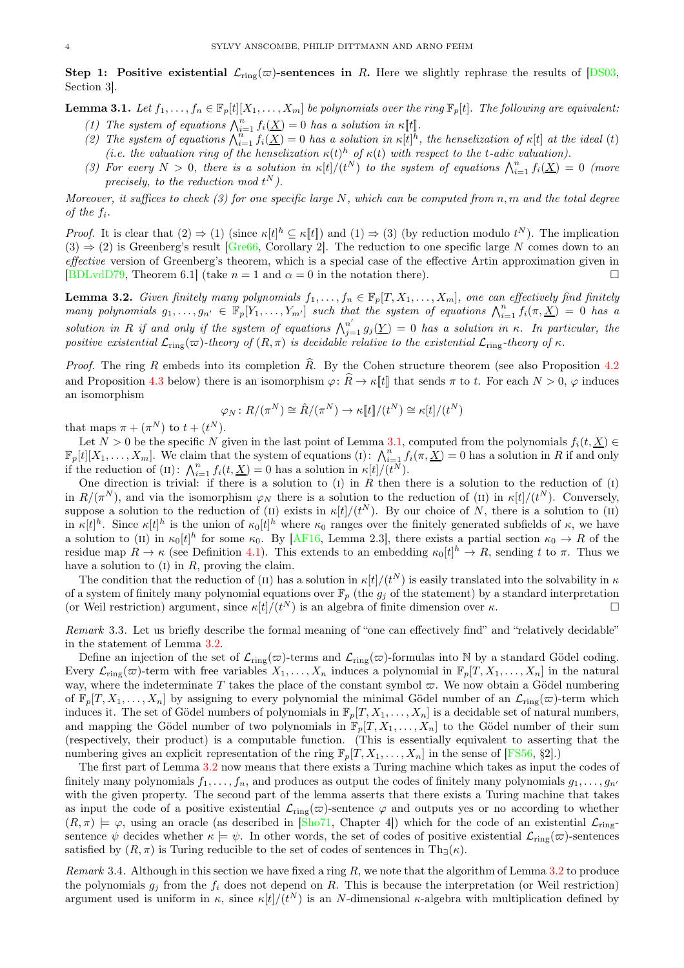Step 1: Positive existential  $\mathcal{L}_{ring}(\varpi)$ -sentences in R. Here we slightly rephrase the results of [\[DS03,](#page-10-1) Section 3].

<span id="page-3-1"></span>**Lemma 3.1.** Let  $f_1, \ldots, f_n \in \mathbb{F}_p[t][X_1, \ldots, X_m]$  be polynomials over the ring  $\mathbb{F}_p[t]$ . The following are equivalent: (1) The system of equations  $\bigwedge_{i=1}^{n} f_i(\underline{X}) = 0$  has a solution in  $\kappa[[t]]$ .

- (2) The system of equations  $\bigwedge_{i=1}^{n} f_i(\underline{X}) = 0$  has a solution in  $\kappa[t]^{\hbar}$ , the henselization of  $\kappa[t]$  at the ideal (t) (i.e. the valuation ring of the henselization  $\kappa(t)^h$  of  $\kappa(t)$  with respect to the t-adic valuation).
- (3) For every  $N > 0$ , there is a solution in  $\kappa[t]/(t^N)$  to the system of equations  $\bigwedge_{i=1}^n f_i(\underline{X}) = 0$  (more precisely, to the reduction mod  $t^N$ ).

Moreover, it suffices to check  $(3)$  for one specific large N, which can be computed from n, m and the total degree of the  $f_i$ .

*Proof.* It is clear that  $(2) \Rightarrow (1)$  (since  $\kappa[t]^h \subseteq \kappa[t]$ ) and  $(1) \Rightarrow (3)$  (by reduction modulo  $t^N$ ). The implication  $(3) \Rightarrow (2)$  is Greenberg's result [\[Gre66,](#page-10-21) Corollary 2]. The reduction to one specific large N comes down to an effective version of Greenberg's theorem, which is a special case of the effective Artin approximation given in [\[BDLvdD79,](#page-10-22) Theorem 6.1] (take  $n = 1$  and  $\alpha = 0$  in the notation there).

<span id="page-3-2"></span>**Lemma 3.2.** Given finitely many polynomials  $f_1, \ldots, f_n \in \mathbb{F}_p[T, X_1, \ldots, X_m]$ , one can effectively find finitely many polynomials  $g_1, \ldots, g_{n'} \in \mathbb{F}_p[Y_1, \ldots, Y_{m'}]$  such that the system of equations  $\bigwedge_{i=1}^n f_i(\pi, \underline{X}) = 0$  has a solution in R if and only if the system of equations  $\bigwedge_{j=1}^{n'} g_j(\underline{Y}) = 0$  has a solution in  $\kappa$ . In particular, the positive existential  $\mathcal{L}_{\text{ring}}(\varpi)$ -theory of  $(R, \pi)$  is decidable relative to the existential  $\mathcal{L}_{\text{ring}}$ -theory of  $\kappa$ .

*Proof.* The ring R embeds into its completion  $\hat{R}$ . By the Cohen structure theorem (see also Proposition [4.2](#page-6-1)) and Proposition [4.3](#page-6-2) below) there is an isomorphism  $\varphi: \hat{R} \to \kappa[[t]]$  that sends  $\pi$  to t. For each  $N > 0$ ,  $\varphi$  induces an isomorphism

$$
\varphi_N: R/(\pi^N) \cong \hat{R}/(\pi^N) \to \kappa[\![t]\!]/(t^N) \cong \kappa[t]/(t^N)
$$

that maps  $\pi + (\pi^N)$  to  $t + (t^N)$ .

Let  $N > 0$  be the specific N given in the last point of Lemma [3.1,](#page-3-1) computed from the polynomials  $f_i(t, \underline{X}) \in$  $\mathbb{F}_p[t][X_1,\ldots,X_m]$ . We claim that the system of equations (i):  $\bigwedge_{i=1}^n f_i(\pi,\underline{X})=0$  has a solution in R if and only if the reduction of (II):  $\bigwedge_{i=1}^{n} f_i(t, \underline{X}) = 0$  has a solution in  $\kappa[t]/(t^N)$ .

One direction is trivial: if there is a solution to (I) in R then there is a solution to the reduction of  $(I)$ in  $R/(\pi^N)$ , and via the isomorphism  $\varphi_N$  there is a solution to the reduction of (II) in  $\kappa[t]/(t^N)$ . Conversely, suppose a solution to the reduction of (II) exists in  $\kappa[t]/(t^N)$ . By our choice of N, there is a solution to (II) in  $\kappa[t]^h$ . Since  $\kappa[t]^h$  is the union of  $\kappa_0[t]^h$  where  $\kappa_0$  ranges over the finitely generated subfields of  $\kappa$ , we have a solution to (II) in  $\kappa_0[t]^h$  for some  $\kappa_0$ . By [\[AF16,](#page-10-2) Lemma 2.3], there exists a partial section  $\kappa_0 \to R$  of the residue map  $R \to \kappa$  (see Definition [4.1\)](#page-6-3). This extends to an embedding  $\kappa_0[t]^h \to R$ , sending t to  $\pi$ . Thus we have a solution to  $(I)$  in  $R$ , proving the claim.

The condition that the reduction of (II) has a solution in  $\kappa[t]/(t^N)$  is easily translated into the solvability in  $\kappa$ of a system of finitely many polynomial equations over  $\mathbb{F}_p$  (the  $g_j$  of the statement) by a standard interpretation (or Weil restriction) argument, since  $\kappa[t]/(t^N)$  is an algebra of finite dimension over  $\kappa$ .

<span id="page-3-0"></span>Remark 3.3. Let us briefly describe the formal meaning of "one can effectively find" and "relatively decidable" in the statement of Lemma [3.2.](#page-3-2)

Define an injection of the set of  $\mathcal{L}_{ring}(\varpi)$ -terms and  $\mathcal{L}_{ring}(\varpi)$ -formulas into N by a standard Gödel coding. Every  $\mathcal{L}_{\text{ring}}(\varpi)$ -term with free variables  $X_1, \ldots, X_n$  induces a polynomial in  $\mathbb{F}_p[T, X_1, \ldots, X_n]$  in the natural way, where the indeterminate T takes the place of the constant symbol  $\varpi$ . We now obtain a Gödel numbering of  $\mathbb{F}_p[T, X_1, \ldots, X_n]$  by assigning to every polynomial the minimal Gödel number of an  $\mathcal{L}_{\text{ring}}(\varpi)$ -term which induces it. The set of Gödel numbers of polynomials in  $\mathbb{F}_p[T, X_1, \ldots, X_n]$  is a decidable set of natural numbers, and mapping the Gödel number of two polynomials in  $\mathbb{F}_p[T, X_1, \ldots, X_n]$  to the Gödel number of their sum (respectively, their product) is a computable function. (This is essentially equivalent to asserting that the numbering gives an explicit representation of the ring  $\mathbb{F}_p[T, X_1, \ldots, X_n]$  in the sense of [\[FS56,](#page-10-23) §2].)

The first part of Lemma [3.2](#page-3-2) now means that there exists a Turing machine which takes as input the codes of finitely many polynomials  $f_1, \ldots, f_n$ , and produces as output the codes of finitely many polynomials  $g_1, \ldots, g_{n'}$ with the given property. The second part of the lemma asserts that there exists a Turing machine that takes as input the code of a positive existential  $\mathcal{L}_{\text{ring}}(\varpi)$ -sentence  $\varphi$  and outputs yes or no according to whether  $(R, \pi) \models \varphi$ , using an oracle (as described in [\[Sho71,](#page-11-6) Chapter 4]) which for the code of an existential  $\mathcal{L}_{\text{ring}}$ sentence  $\psi$  decides whether  $\kappa \models \psi$ . In other words, the set of codes of positive existential  $\mathcal{L}_{\text{ring}}(\varpi)$ -sentences satisfied by  $(R, \pi)$  is Turing reducible to the set of codes of sentences in Th<sub>∃</sub> $(\kappa)$ .

Remark 3.4. Although in this section we have fixed a ring  $R$ , we note that the algorithm of Lemma  $3.2$  to produce the polynomials  $g_i$  from the  $f_i$  does not depend on R. This is because the interpretation (or Weil restriction) argument used is uniform in  $\kappa$ , since  $\kappa[t]/(t^N)$  is an N-dimensional  $\kappa$ -algebra with multiplication defined by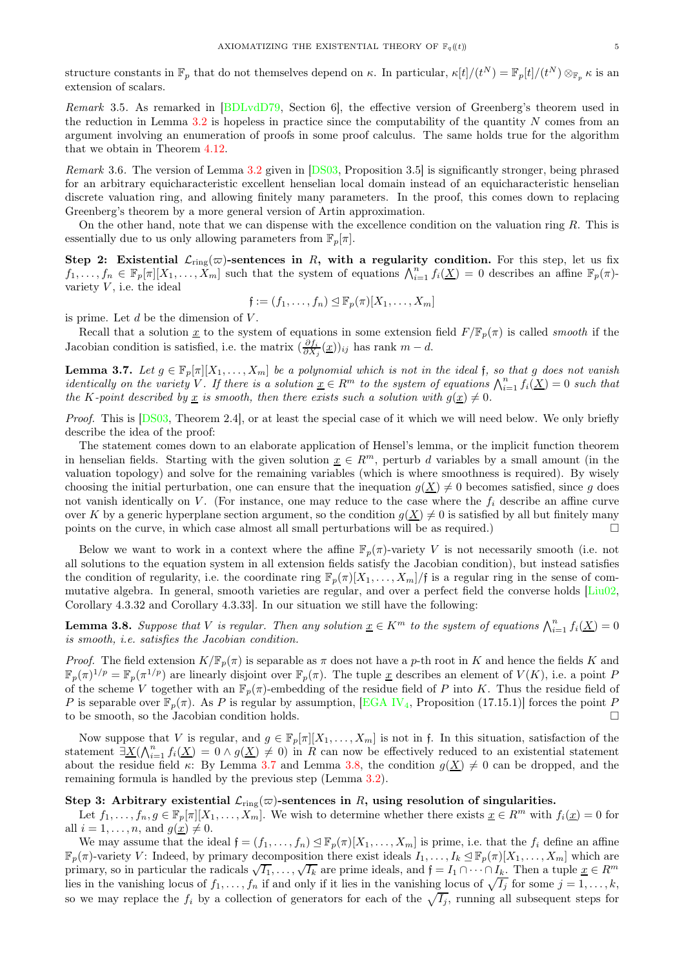structure constants in  $\mathbb{F}_p$  that do not themselves depend on  $\kappa$ . In particular,  $\kappa[t]/(t^N) = \mathbb{F}_p[t]/(t^N) \otimes_{\mathbb{F}_p} \kappa$  is an extension of scalars.

Remark 3.5. As remarked in [\[BDLvdD79,](#page-10-22) Section 6], the effective version of Greenberg's theorem used in the reduction in Lemma [3.2](#page-3-2) is hopeless in practice since the computability of the quantity N comes from an argument involving an enumeration of proofs in some proof calculus. The same holds true for the algorithm that we obtain in Theorem [4.12.](#page-8-0)

Remark 3.6. The version of Lemma [3.2](#page-3-2) given in [\[DS03,](#page-10-1) Proposition 3.5] is significantly stronger, being phrased for an arbitrary equicharacteristic excellent henselian local domain instead of an equicharacteristic henselian discrete valuation ring, and allowing finitely many parameters. In the proof, this comes down to replacing Greenberg's theorem by a more general version of Artin approximation.

On the other hand, note that we can dispense with the excellence condition on the valuation ring R. This is essentially due to us only allowing parameters from  $\mathbb{F}_p[\pi]$ .

Step 2: Existential  $\mathcal{L}_{\text{ring}}(\varpi)$ -sentences in R, with a regularity condition. For this step, let us fix  $f_1, \ldots, f_n \in \mathbb{F}_p[\pi][X_1, \ldots, X_m]$  such that the system of equations  $\bigwedge_{i=1}^n f_i(\underline{X}) = 0$  describes an affine  $\mathbb{F}_p(\pi)$ variety  $V$ , i.e. the ideal

$$
\mathfrak{f} := (f_1, \ldots, f_n) \unlhd \mathbb{F}_p(\pi)[X_1, \ldots, X_m]
$$

is prime. Let  $d$  be the dimension of  $V$ .

Recall that a solution x to the system of equations in some extension field  $F/\mathbb{F}_p(\pi)$  is called smooth if the Jacobian condition is satisfied, i.e. the matrix  $(\frac{\partial f_i}{\partial X_j}(\underline{x}))_{ij}$  has rank  $m-d$ .

<span id="page-4-0"></span>**Lemma 3.7.** Let  $g \in \mathbb{F}_p[\pi][X_1,\ldots,X_m]$  be a polynomial which is not in the ideal f, so that g does not vanish identically on the variety V. If there is a solution  $\underline{x} \in R^m$  to the system of equations  $\bigwedge_{i=1}^n f_i(\underline{X}) = 0$  such that the K-point described by  $\underline{x}$  is smooth, then there exists such a solution with  $g(\underline{x}) \neq 0$ .

Proof. This is [\[DS03,](#page-10-1) Theorem 2.4], or at least the special case of it which we will need below. We only briefly describe the idea of the proof:

The statement comes down to an elaborate application of Hensel's lemma, or the implicit function theorem in henselian fields. Starting with the given solution  $\underline{x} \in R^m$ , perturb d variables by a small amount (in the valuation topology) and solve for the remaining variables (which is where smoothness is required). By wisely choosing the initial perturbation, one can ensure that the inequation  $g(\underline{X}) \neq 0$  becomes satisfied, since g does not vanish identically on V. (For instance, one may reduce to the case where the  $f_i$  describe an affine curve over K by a generic hyperplane section argument, so the condition  $g(\underline{X}) \neq 0$  is satisfied by all but finitely many<br>points on the curve in which case almost all small perturbations will be as required. points on the curve, in which case almost all small perturbations will be as required.)

Below we want to work in a context where the affine  $\mathbb{F}_p(\pi)$ -variety V is not necessarily smooth (i.e. not all solutions to the equation system in all extension fields satisfy the Jacobian condition), but instead satisfies the condition of regularity, i.e. the coordinate ring  $\mathbb{F}_p(\pi)[X_1,\ldots,X_m]/f$  is a regular ring in the sense of commutative algebra. In general, smooth varieties are regular, and over a perfect field the converse holds [\[Liu02,](#page-10-9) Corollary 4.3.32 and Corollary 4.3.33]. In our situation we still have the following:

<span id="page-4-1"></span>**Lemma 3.8.** Suppose that V is regular. Then any solution  $\underline{x} \in K^m$  to the system of equations  $\bigwedge_{i=1}^n f_i(\underline{X}) = 0$ is smooth, i.e. satisfies the Jacobian condition.

*Proof.* The field extension  $K/\mathbb{F}_p(\pi)$  is separable as  $\pi$  does not have a p-th root in K and hence the fields K and  $\mathbb{F}_p(\pi)^{1/p} = \mathbb{F}_p(\pi^{1/p})$  are linearly disjoint over  $\mathbb{F}_p(\pi)$ . The tuple <u>x</u> describes an element of  $V(K)$ , i.e. a point P of the scheme V together with an  $\mathbb{F}_p(\pi)$ -embedding of the residue field of P into K. Thus the residue field of P is separable over  $\mathbb{F}_p(\pi)$ . As P is regular by assumption, [\[EGA IV](#page-10-24)<sub>4</sub>, Proposition (17.15.1)] forces the point P to be smooth, so the Jacobian condition holds.

Now suppose that V is regular, and  $g \in \mathbb{F}_p[\pi][X_1,\ldots,X_m]$  is not in f. In this situation, satisfaction of the statement  $\exists \underline{X}(\bigwedge_{i=1}^{n} f_i(\underline{X}) = 0 \wedge g(\underline{X}) \neq 0)$  in R can now be effectively reduced to an existential statement about the residue field  $\kappa$ : By Lemma [3.7](#page-4-0) and Lemma [3.8,](#page-4-1) the condition  $g(\underline{X}) \neq 0$  can be dropped, and the remaining formula is handled by the previous step (Lemma [3.2\)](#page-3-2).

# Step 3: Arbitrary existential  $\mathcal{L}_{ring}(\varpi)$ -sentences in R, using resolution of singularities.

Let  $f_1, \ldots, f_n, g \in \mathbb{F}_p[\pi][X_1, \ldots, X_m]$ . We wish to determine whether there exists  $\underline{x} \in \mathbb{R}^m$  with  $f_i(\underline{x}) = 0$  for all  $i = 1, \ldots, n$ , and  $g(x) \neq 0$ .

We may assume that the ideal  $\mathfrak{f} = (f_1, \ldots, f_n) \leq \mathbb{F}_p(\pi)[X_1, \ldots, X_m]$  is prime, i.e. that the  $f_i$  define an affine  $\mathbb{F}_p(\pi)$ -variety V: Indeed, by primary decomposition there exist ideals  $I_1,\ldots,I_k\leq \mathbb{F}_p(\pi)[X_1,\ldots,X_m]$  which are primary, so in particular the radicals  $\sqrt{I_1}, \ldots, \sqrt{I_k}$  are prime ideals, and  $f = I_1 \cap \cdots \cap I_k$ . Then a tuple  $\underline{x} \in R^m$ lies in the vanishing locus of  $f_1, \ldots, f_n$  if and only if it lies in the vanishing locus of  $\sqrt{I_j}$  for some  $j = 1, \ldots, k$ , so we may replace the  $f_i$  by a collection of generators for each of the  $\sqrt{I_j}$ , running all subsequent steps for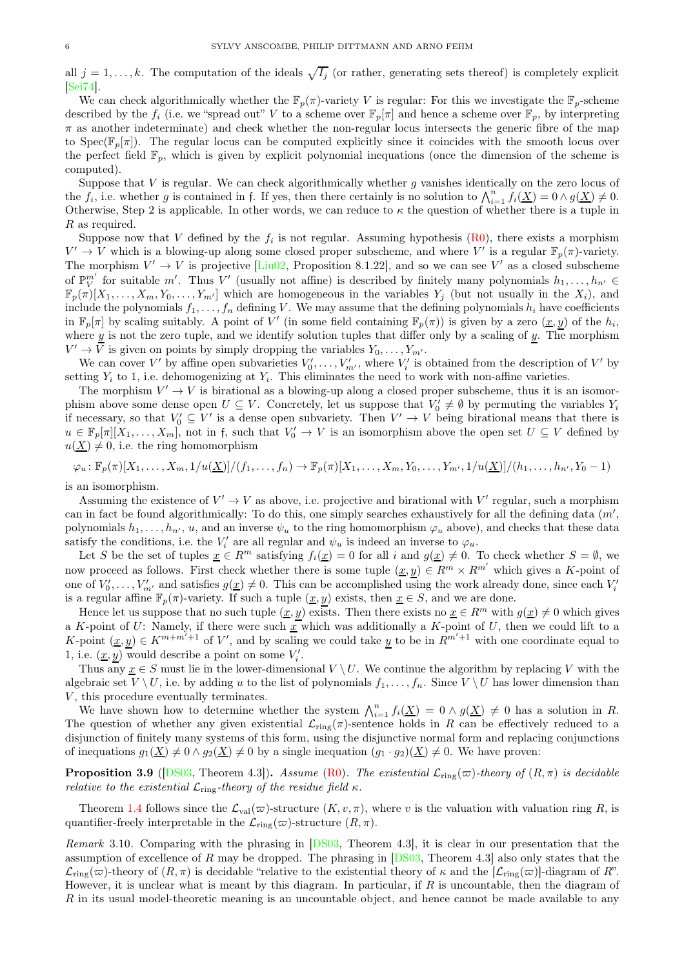all  $j = 1, \ldots, k$ . The computation of the ideals  $\sqrt{I_j}$  (or rather, generating sets thereof) is completely explicit [\[Sei74\]](#page-11-7).

We can check algorithmically whether the  $\mathbb{F}_p(\pi)$ -variety V is regular: For this we investigate the  $\mathbb{F}_p$ -scheme described by the  $f_i$  (i.e. we "spread out" V to a scheme over  $\mathbb{F}_p[\pi]$  and hence a scheme over  $\mathbb{F}_p$ , by interpreting  $\pi$  as another indeterminate) and check whether the non-regular locus intersects the generic fibre of the map to Spec( $\mathbb{F}_p[\pi]$ ). The regular locus can be computed explicitly since it coincides with the smooth locus over the perfect field  $\mathbb{F}_p$ , which is given by explicit polynomial inequations (once the dimension of the scheme is computed).

Suppose that V is regular. We can check algorithmically whether g vanishes identically on the zero locus of the  $f_i$ , i.e. whether g is contained in f. If yes, then there certainly is no solution to  $\bigwedge_{i=1}^n f_i(\underline{X}) = 0 \wedge g(\underline{X}) \neq 0$ . Otherwise, Step 2 is applicable. In other words, we can reduce to  $\kappa$  the question of whether there is a tuple in R as required.

Suppose now that V defined by the  $f_i$  is not regular. Assuming hypothesis [\(R0\)](#page-1-1), there exists a morphism  $V' \to V$  which is a blowing-up along some closed proper subscheme, and where V' is a regular  $\mathbb{F}_p(\pi)$ -variety. The morphism  $V' \to V$  is projective [\[Liu02,](#page-10-9) Proposition 8.1.22], and so we can see V' as a closed subscheme of  $\mathbb{P}_{V}^{m'}$  for suitable m'. Thus V' (usually not affine) is described by finitely many polynomials  $h_1, \ldots, h_{n'} \in$  $\mathbb{F}_p(\pi)[X_1,\ldots,X_m,Y_0,\ldots,Y_{m'}]$  which are homogeneous in the variables  $Y_j$  (but not usually in the  $X_i$ ), and include the polynomials  $f_1, \ldots, f_n$  defining V. We may assume that the defining polynomials  $h_i$  have coefficients in  $\mathbb{F}_p[\pi]$  by scaling suitably. A point of  $\tilde{V}'$  (in some field containing  $\mathbb{F}_p(\pi)$ ) is given by a zero  $(\underline{x}, y)$  of the  $h_i$ , where  $y$  is not the zero tuple, and we identify solution tuples that differ only by a scaling of  $y$ . The morphism  $V' \to \overline{V}$  is given on points by simply dropping the variables  $Y_0, \ldots, Y_{m'}$ .

We can cover V' by affine open subvarieties  $V'_0, \ldots, V'_{m'}$ , where  $V'_i$  is obtained from the description of V' by setting  $Y_i$  to 1, i.e. dehomogenizing at  $Y_i$ . This eliminates the need to work with non-affine varieties.

The morphism  $V' \to V$  is birational as a blowing-up along a closed proper subscheme, thus it is an isomorphism above some dense open  $U \subseteq V$ . Concretely, let us suppose that  $V_0' \neq \emptyset$  by permuting the variables  $Y_i$ if necessary, so that  $V'_0 \subseteq V'$  is a dense open subvariety. Then  $V' \to V$  being birational means that there is  $u \in \mathbb{F}_p[\pi][X_1,\ldots,X_m]$ , not in f, such that  $V'_0 \to V$  is an isomorphism above the open set  $U \subseteq V$  defined by  $u(\underline{X}) \neq 0$ , i.e. the ring homomorphism

$$
\varphi_u : \mathbb{F}_p(\pi)[X_1, \ldots, X_m, 1/u(\underline{X})]/(f_1, \ldots, f_n) \to \mathbb{F}_p(\pi)[X_1, \ldots, X_m, Y_0, \ldots, Y_{m'}, 1/u(\underline{X})]/(h_1, \ldots, h_{n'}, Y_0-1)
$$

is an isomorphism.

Assuming the existence of  $V' \to V$  as above, i.e. projective and birational with  $V'$  regular, such a morphism can in fact be found algorithmically: To do this, one simply searches exhaustively for all the defining data  $(m',$ polynomials  $h_1, \ldots, h_{n'}$ , u, and an inverse  $\psi_u$  to the ring homomorphism  $\varphi_u$  above), and checks that these data satisfy the conditions, i.e. the  $V_i'$  are all regular and  $\psi_u$  is indeed an inverse to  $\varphi_u$ .

Let S be the set of tuples  $\underline{x} \in \mathbb{R}^m$  satisfying  $f_i(\underline{x}) = 0$  for all i and  $g(\underline{x}) \neq 0$ . To check whether  $S = \emptyset$ , we now proceed as follows. First check whether there is some tuple  $(\underline{x}, \underline{y}) \in R^m \times R^{m'}$  which gives a K-point of one of  $V'_0, \ldots, V'_{m'}$  and satisfies  $g(\underline{x}) \neq 0$ . This can be accomplished using the work already done, since each  $V'_i$ is a regular affine  $\mathbb{F}_p(\pi)$ -variety. If such a tuple  $(\underline{x}, y)$  exists, then  $\underline{x} \in S$ , and we are done.

Hence let us suppose that no such tuple  $(x, y)$  exists. Then there exists no  $x \in \mathbb{R}^m$  with  $g(x) \neq 0$  which gives a K-point of U: Namely, if there were such  $x$  which was additionally a K-point of U, then we could lift to a K-point  $(\underline{x}, \underline{y}) \in K^{m+m'+1}$  of V', and by scaling we could take y to be in  $\overline{R}^{m'+1}$  with one coordinate equal to 1, i.e.  $(\underline{x}, \underline{y})$  would describe a point on some  $V_i'$ .

Thus any  $\underline{x} \in S$  must lie in the lower-dimensional  $V \setminus U$ . We continue the algorithm by replacing V with the algebraic set  $V \setminus U$ , i.e. by adding u to the list of polynomials  $f_1, \ldots, f_n$ . Since  $V \setminus U$  has lower dimension than  $V$ , this procedure eventually terminates.

We have shown how to determine whether the system  $\bigwedge_{i=1}^{n} f_i(\underline{X}) = 0 \wedge g(\underline{X}) \neq 0$  has a solution in R. The question of whether any given existential  $\mathcal{L}_{ring}(\pi)$ -sentence holds in R can be effectively reduced to a disjunction of finitely many systems of this form, using the disjunctive normal form and replacing conjunctions of inequations  $g_1(X) \neq 0 \wedge g_2(X) \neq 0$  by a single inequation  $(g_1 \cdot g_2)(X) \neq 0$ . We have proven:

**Proposition 3.9** ([\[DS03,](#page-10-1) Theorem 4.3]). Assume [\(R0\)](#page-1-1). The existential  $\mathcal{L}_{ring}(\varpi)$ -theory of  $(R, \pi)$  is decidable relative to the existential  $\mathcal{L}_{\text{ring}}$ -theory of the residue field  $\kappa$ .

Theorem [1.4](#page-0-1) follows since the  $\mathcal{L}_{val}(\varpi)$ -structure  $(K, v, \pi)$ , where v is the valuation with valuation ring R, is quantifier-freely interpretable in the  $\mathcal{L}_{\text{ring}}(\varpi)$ -structure  $(R, \pi)$ .

Remark 3.10. Comparing with the phrasing in [\[DS03,](#page-10-1) Theorem 4.3], it is clear in our presentation that the assumption of excellence of R may be dropped. The phrasing in  $[DS03,$  Theorem 4.3] also only states that the  $\mathcal{L}_{ring}(\varpi)$ -theory of  $(R, \pi)$  is decidable "relative to the existential theory of  $\kappa$  and the  $[\mathcal{L}_{ring}(\varpi)]$ -diagram of  $R$ ". However, it is unclear what is meant by this diagram. In particular, if  $R$  is uncountable, then the diagram of R in its usual model-theoretic meaning is an uncountable object, and hence cannot be made available to any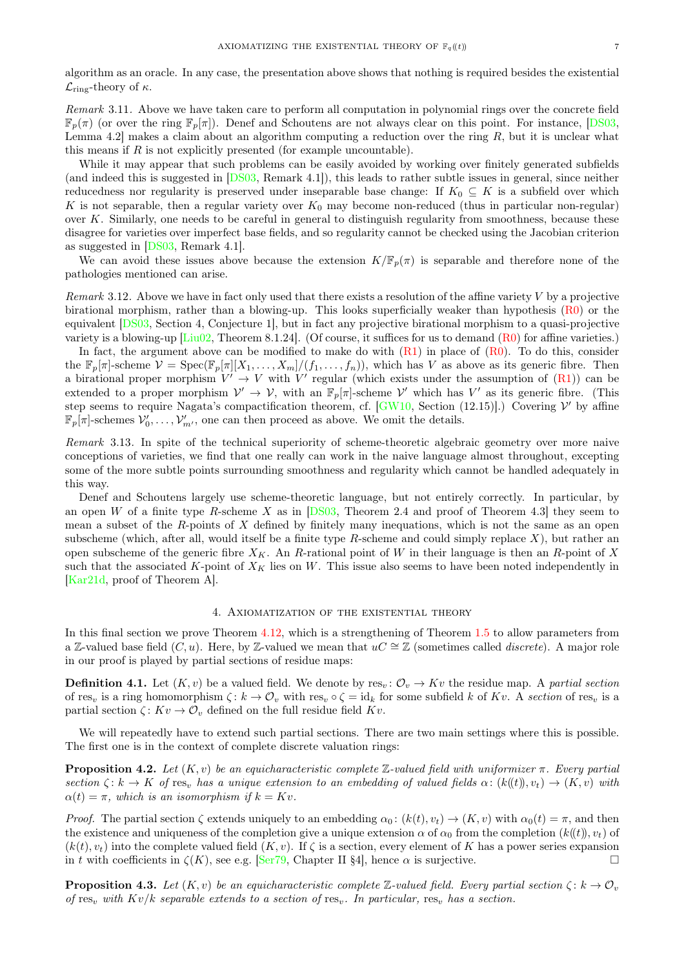algorithm as an oracle. In any case, the presentation above shows that nothing is required besides the existential  $\mathcal{L}_{\text{ring}}$ -theory of  $\kappa$ .

Remark 3.11. Above we have taken care to perform all computation in polynomial rings over the concrete field  $\mathbb{F}_p(\pi)$  (or over the ring  $\mathbb{F}_p[\pi]$ ). Denef and Schoutens are not always clear on this point. For instance, [\[DS03,](#page-10-1) Lemma 4.2] makes a claim about an algorithm computing a reduction over the ring  $R$ , but it is unclear what this means if  $R$  is not explicitly presented (for example uncountable).

While it may appear that such problems can be easily avoided by working over finitely generated subfields (and indeed this is suggested in [\[DS03,](#page-10-1) Remark 4.1]), this leads to rather subtle issues in general, since neither reducedness nor regularity is preserved under inseparable base change: If  $K_0 \subseteq K$  is a subfield over which K is not separable, then a regular variety over  $K_0$  may become non-reduced (thus in particular non-regular) over K. Similarly, one needs to be careful in general to distinguish regularity from smoothness, because these disagree for varieties over imperfect base fields, and so regularity cannot be checked using the Jacobian criterion as suggested in [\[DS03,](#page-10-1) Remark 4.1].

We can avoid these issues above because the extension  $K/\mathbb{F}_n(\pi)$  is separable and therefore none of the pathologies mentioned can arise.

Remark 3.12. Above we have in fact only used that there exists a resolution of the affine variety  $V$  by a projective birational morphism, rather than a blowing-up. This looks superficially weaker than hypothesis [\(R0\)](#page-1-1) or the equivalent [\[DS03,](#page-10-1) Section 4, Conjecture 1], but in fact any projective birational morphism to a quasi-projective variety is a blowing-up  $\boxed{\text{Liu02}}$ , Theorem 8.1.24. (Of course, it suffices for us to demand  $(R0)$  for affine varieties.)

In fact, the argument above can be modified to make do with  $(R1)$  in place of  $(R0)$ . To do this, consider the  $\mathbb{F}_p[\pi]$ -scheme  $\mathcal{V} = \text{Spec}(\mathbb{F}_p[\pi][X_1,\ldots,X_m]/(f_1,\ldots,f_n)),$  which has V as above as its generic fibre. Then a birational proper morphism  $V' \rightarrow V$  with  $V'$  regular (which exists under the assumption of [\(R1\)](#page-1-2)) can be extended to a proper morphism  $V' \to V$ , with an  $\mathbb{F}_p[\pi]$ -scheme V' which has V' as its generic fibre. (This step seems to require Nagata's compactification theorem, cf.  $[GW10, Section (12.15)].$  Covering  $V'$  by affine  $\mathbb{F}_p[\pi]$ -schemes  $\mathcal{V}'_0, \ldots, \mathcal{V}'_{m'}$ , one can then proceed as above. We omit the details.

Remark 3.13. In spite of the technical superiority of scheme-theoretic algebraic geometry over more naive conceptions of varieties, we find that one really can work in the naive language almost throughout, excepting some of the more subtle points surrounding smoothness and regularity which cannot be handled adequately in this way.

Denef and Schoutens largely use scheme-theoretic language, but not entirely correctly. In particular, by an open W of a finite type R-scheme X as in [\[DS03,](#page-10-1) Theorem 2.4 and proof of Theorem 4.3] they seem to mean a subset of the R-points of X defined by finitely many inequations, which is not the same as an open subscheme (which, after all, would itself be a finite type R-scheme and could simply replace X), but rather an open subscheme of the generic fibre  $X_K$ . An R-rational point of W in their language is then an R-point of X such that the associated K-point of  $X_K$  lies on W. This issue also seems to have been noted independently in [\[Kar21d,](#page-10-19) proof of Theorem A].

#### 4. Axiomatization of the existential theory

<span id="page-6-0"></span>In this final section we prove Theorem [4.12,](#page-8-0) which is a strengthening of Theorem [1.5](#page-1-4) to allow parameters from a Z-valued base field (C, u). Here, by Z-valued we mean that  $uC \cong \mathbb{Z}$  (sometimes called *discrete*). A major role in our proof is played by partial sections of residue maps:

<span id="page-6-3"></span>**Definition 4.1.** Let  $(K, v)$  be a valued field. We denote by res<sub>v</sub>:  $\mathcal{O}_v \to Kv$  the residue map. A partial section of res<sub>v</sub> is a ring homomorphism  $\zeta: k \to \mathcal{O}_v$  with res<sub>v</sub>  $\circ \zeta = id_k$  for some subfield k of Kv. A section of res<sub>v</sub> is a partial section  $\zeta: Kv \to \mathcal{O}_v$  defined on the full residue field  $Kv$ .

We will repeatedly have to extend such partial sections. There are two main settings where this is possible. The first one is in the context of complete discrete valuation rings:

<span id="page-6-1"></span>**Proposition 4.2.** Let  $(K, v)$  be an equicharacteristic complete Z-valued field with uniformizer  $\pi$ . Every partial section  $\zeta: k \to K$  of res<sub>v</sub> has a unique extension to an embedding of valued fields  $\alpha: (k(t)), v_t) \to (K, v)$  with  $\alpha(t) = \pi$ , which is an isomorphism if  $k = Kv$ .

*Proof.* The partial section  $\zeta$  extends uniquely to an embedding  $\alpha_0$ :  $(k(t), v_t) \to (K, v)$  with  $\alpha_0(t) = \pi$ , and then the existence and uniqueness of the completion give a unique extension  $\alpha$  of  $\alpha_0$  from the completion  $(k(\ell), v_t)$  of  $(k(t), v_t)$  into the complete valued field  $(K, v)$ . If  $\zeta$  is a section, every element of K has a power series expansion in t with coefficients in  $\zeta(K)$ , see e.g. [\[Ser79,](#page-11-8) Chapter II §4], hence  $\alpha$  is surjective.

<span id="page-6-2"></span>**Proposition 4.3.** Let  $(K, v)$  be an equicharacteristic complete Z-valued field. Every partial section  $\zeta : k \to \mathcal{O}_v$ of res<sub>v</sub> with  $Kv/k$  separable extends to a section of res<sub>v</sub>. In particular, res<sub>v</sub> has a section.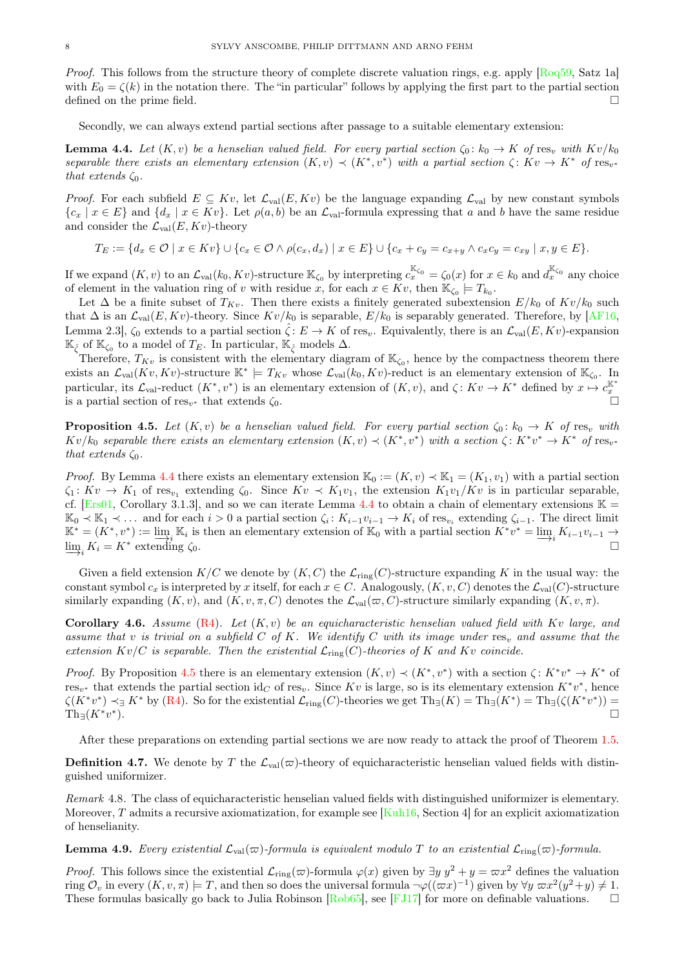Proof. This follows from the structure theory of complete discrete valuation rings, e.g. apply [\[Roq59,](#page-11-9) Satz 1a] with  $E_0 = \zeta(k)$  in the notation there. The "in particular" follows by applying the first part to the partial section defined on the prime field.

Secondly, we can always extend partial sections after passage to a suitable elementary extension:

<span id="page-7-0"></span>**Lemma 4.4.** Let  $(K, v)$  be a henselian valued field. For every partial section  $\zeta_0 : k_0 \to K$  of res<sub>v</sub> with  $Kv/k_0$ separable there exists an elementary extension  $(K, v) \prec (K^*, v^*)$  with a partial section  $\zeta: Kv \to K^*$  of  $\text{res}_{v^*}$ that extends  $\zeta_0$ .

*Proof.* For each subfield  $E \subseteq Kv$ , let  $\mathcal{L}_{val}(E, Kv)$  be the language expanding  $\mathcal{L}_{val}$  by new constant symbols  ${c_x | x \in E}$  and  ${d_x | x \in Kv}$ . Let  $\rho(a, b)$  be an  $\mathcal{L}_{val}$ -formula expressing that a and b have the same residue and consider the  $\mathcal{L}_{val}(E, Kv)$ -theory

$$
T_E := \{ d_x \in \mathcal{O} \mid x \in Kv \} \cup \{ c_x \in \mathcal{O} \land \rho(c_x, d_x) \mid x \in E \} \cup \{ c_x + c_y = c_{x+y} \land c_x c_y = c_{xy} \mid x, y \in E \}.
$$

If we expand  $(K, v)$  to an  $\mathcal{L}_{val}(k_0, Kv)$ -structure  $\mathbb{K}_{\zeta_0}$  by interpreting  $c_x^{\mathbb{K}_{\zeta_0}} = \zeta_0(x)$  for  $x \in k_0$  and  $d_x^{\mathbb{K}_{\zeta_0}}$  any choice of element in the valuation ring of v with residue x, for each  $x \in Kv$ , then  $\mathbb{K}_{\zeta_0} \models T_{k_0}$ .

Let  $\Delta$  be a finite subset of  $T_{Kv}$ . Then there exists a finitely generated subextension  $E/k_0$  of  $Kv/k_0$  such that  $\Delta$  is an  $\mathcal{L}_{val}(E, Kv)$ -theory. Since  $Kv/k_0$  is separable,  $E/k_0$  is separably generated. Therefore, by [\[AF16,](#page-10-2) Lemma 2.3],  $\zeta_0$  extends to a partial section  $\zeta: E \to K$  of res<sub>v</sub>. Equivalently, there is an  $\mathcal{L}_{val}(E, Kv)$ -expansion  $\mathbb{K}_{\hat{\zeta}}$  of  $\mathbb{K}_{\zeta_0}$  to a model of  $T_E$ . In particular,  $\mathbb{K}_{\hat{\zeta}}$  models  $\Delta$ .

Therefore,  $T_{Kv}$  is consistent with the elementary diagram of  $\mathbb{K}_{\zeta_0}$ , hence by the compactness theorem there exists an  $\mathcal{L}_{val}(Kv, Kv)$ -structure  $\mathbb{K}^* \models T_{Kv}$  whose  $\mathcal{L}_{val}(k_0, Kv)$ -reduct is an elementary extension of  $\mathbb{K}_{\zeta_0}$ . In particular, its  $\mathcal{L}_{val}$ -reduct  $(K^*, v^*)$  is an elementary extension of  $(K, v)$ , and  $\zeta: Kv \to K^*$  defined by  $x \mapsto c_x^{\mathbb{K}}$ is a partial section of  $res_{v^*}$  that extends  $\zeta_0$ .

<span id="page-7-1"></span>**Proposition 4.5.** Let  $(K, v)$  be a henselian valued field. For every partial section  $\zeta_0 : k_0 \to K$  of res<sub>v</sub> with  $Kv/k_0$  separable there exists an elementary extension  $(K, v) \prec (K^*, v^*)$  with a section  $\zeta: K^*v^* \to K^*$  of  $\text{res}_{v^*}$ that extends  $\zeta_0$ .

*Proof.* By Lemma [4.4](#page-7-0) there exists an elementary extension  $\mathbb{K}_0 := (K, v) \prec \mathbb{K}_1 = (K_1, v_1)$  with a partial section  $\zeta_1: Kv \to K_1$  of res<sub>v<sub>1</sub></sub> extending  $\zeta_0$ . Since  $Kv \prec K_1v_1$ , the extension  $K_1v_1/Kv$  is in particular separable, cf. [\[Ers01,](#page-10-26) Corollary 3.1.3], and so we can iterate Lemma [4.4](#page-7-0) to obtain a chain of elementary extensions  $\mathbb{K} =$  $\mathbb{K}_0 \prec \mathbb{K}_1 \prec \ldots$  and for each  $i > 0$  a partial section  $\zeta_i: K_{i-1}v_{i-1} \to K_i$  of res<sub>v<sub>i</sub></sub> extending  $\zeta_{i-1}$ . The direct limit  $\mathbb{K}^* = (K^*, v^*) := \varinjlim_{i} \mathbb{K}_i$  is then an elementary extension of  $\mathbb{K}_0$  with a partial section  $K^*v^* = \varinjlim_{i} K_i - K^*$  extending  $\zeta_0$  $\varinjlim_i K_{i-1}v_{i-1} \to$  $\lim_{i \to i} K_i = K^*$  extending  $\zeta_0$ . □

Given a field extension  $K/C$  we denote by  $(K, C)$  the  $\mathcal{L}_{ring}(C)$ -structure expanding K in the usual way: the constant symbol  $c_x$  is interpreted by x itself, for each  $x \in C$ . Analogously,  $(K, v, C)$  denotes the  $\mathcal{L}_{val}(C)$ -structure similarly expanding  $(K, v)$ , and  $(K, v, \pi, C)$  denotes the  $\mathcal{L}_{val}(\varpi, C)$ -structure similarly expanding  $(K, v, \pi)$ .

<span id="page-7-3"></span>**Corollary 4.6.** Assume  $(R4)$ . Let  $(K, v)$  be an equicharacteristic henselian valued field with Kv large, and assume that v is trivial on a subfield  $C$  of  $K$ . We identify  $C$  with its image under res<sub>v</sub> and assume that the extension  $Kv/C$  is separable. Then the existential  $\mathcal{L}_{\text{ring}}(C)$ -theories of K and Kv coincide.

*Proof.* By Proposition [4.5](#page-7-1) there is an elementary extension  $(K, v) \prec (K^*, v^*)$  with a section  $\zeta: K^*v^* \to K^*$  of  $res_{v^*}$  that extends the partial section id<sub>C</sub> of res<sub>v</sub>. Since Kv is large, so is its elementary extension K<sup>\*</sup>v<sup>\*</sup>, hence  $\zeta(K^*v^*) \prec_{\exists} K^*$  by  $(\mathbb{R}^4)$ . So for the existential  $\mathcal{L}_{\text{ring}}(C)$ -theories we get  $\text{Th}_{\exists}(K) = \text{Th}_{\exists}(K^*) = \text{Th}_{\exists}(\zeta(K^*v^*)) =$  $\mathrm{Th}_{\exists}(K^*v^*$ ).  $\Box$ 

After these preparations on extending partial sections we are now ready to attack the proof of Theorem [1.5.](#page-1-4)

<span id="page-7-4"></span>**Definition 4.7.** We denote by T the  $\mathcal{L}_{val}(\varpi)$ -theory of equicharacteristic henselian valued fields with distinguished uniformizer.

Remark 4.8. The class of equicharacteristic henselian valued fields with distinguished uniformizer is elementary. Moreover, T admits a recursive axiomatization, for example see [\[Kuh16,](#page-10-27) Section 4] for an explicit axiomatization of henselianity.

<span id="page-7-2"></span>**Lemma 4.9.** Every existential  $\mathcal{L}_{val}(\varpi)$ -formula is equivalent modulo T to an existential  $\mathcal{L}_{ring}(\varpi)$ -formula.

*Proof.* This follows since the existential  $\mathcal{L}_{ring}(\varpi)$ -formula  $\varphi(x)$  given by  $\exists y \; y^2 + y = \varpi x^2$  defines the valuation ring  $\mathcal{O}_v$  in every  $(K, v, \pi) \models T$ , and then so does the universal formula  $\neg \varphi((\varpi x)^{-1})$  given by  $\forall y \varpi x^2(y^2 + y) \neq 1$ . These formulas basically go back to Julia Robinson  $Rob65$ , see [\[FJ17\]](#page-10-28) for more on definable valuations.  $\square$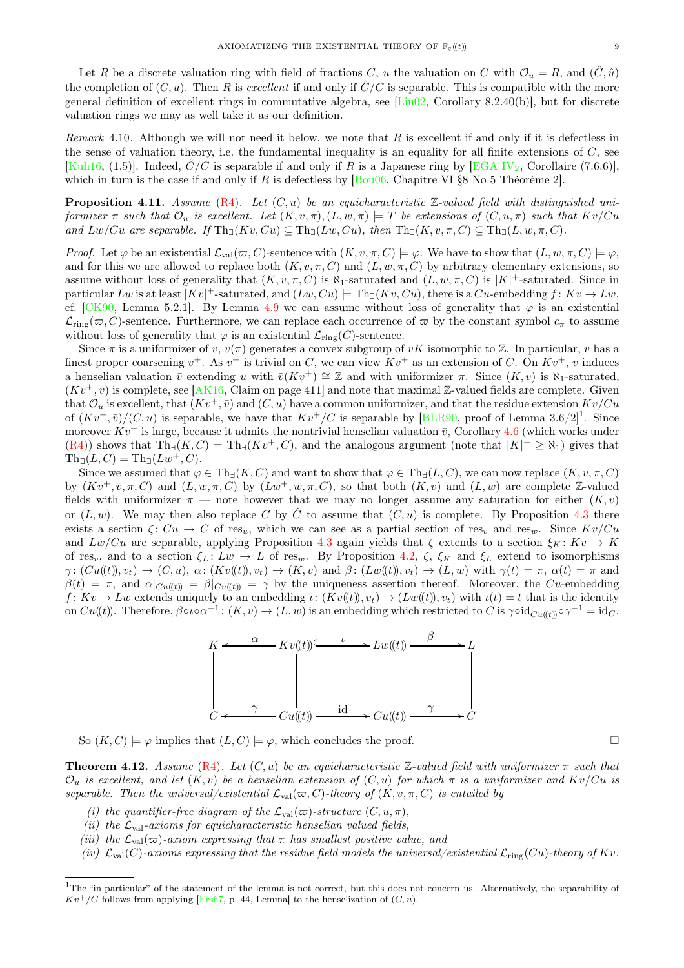Let R be a discrete valuation ring with field of fractions C, u the valuation on C with  $\mathcal{O}_u = R$ , and  $(\tilde{C}, \hat{u})$ the completion of  $(C, u)$ . Then R is excellent if and only if  $\hat{C}/C$  is separable. This is compatible with the more general definition of excellent rings in commutative algebra, see [\[Liu02,](#page-10-9) Corollary 8.2.40(b)], but for discrete valuation rings we may as well take it as our definition.

Remark 4.10. Although we will not need it below, we note that R is excellent if and only if it is defectless in the sense of valuation theory, i.e. the fundamental inequality is an equality for all finite extensions of  $C$ , see [\[Kuh16,](#page-10-27) (1.5)]. Indeed,  $\hat{C}/C$  is separable if and only if R is a Japanese ring by [\[EGA IV](#page-10-18)<sub>2</sub>, Corollaire (7.6.6)], which in turn is the case if and only if R is defectless by [\[Bou06,](#page-10-29) Chapitre VI §8 No 5 Théorème 2].

<span id="page-8-2"></span>**Proposition 4.11.** Assume [\(R4\)](#page-2-1). Let  $(C, u)$  be an equicharacteristic  $\mathbb{Z}$ -valued field with distinguished uniformizer  $\pi$  such that  $\mathcal{O}_u$  is excellent. Let  $(K, v, \pi), (L, w, \pi) \models T$  be extensions of  $(C, u, \pi)$  such that  $Kv/Cu$ and  $Lw/Cu$  are separable. If  $\text{Th}_{\exists}(Kv, Cu) \subseteq \text{Th}_{\exists}(Lw, Cu)$ , then  $\text{Th}_{\exists}(K, v, \pi, C) \subseteq \text{Th}_{\exists}(L, w, \pi, C)$ .

Proof. Let  $\varphi$  be an existential  $\mathcal{L}_{val}(\varpi, C)$ -sentence with  $(K, v, \pi, C) \models \varphi$ . We have to show that  $(L, w, \pi, C) \models \varphi$ , and for this we are allowed to replace both  $(K, v, \pi, C)$  and  $(L, w, \pi, C)$  by arbitrary elementary extensions, so assume without loss of generality that  $(K, v, \pi, C)$  is  $\aleph_1$ -saturated and  $(L, w, \pi, C)$  is  $|K|$ <sup>+</sup>-saturated. Since in particular  $Lw$  is at least  $|Kv|$ <sup>+</sup>-saturated, and  $(Lw, Cu) \models Th_{\exists}(Kv, Cu)$ , there is a  $Cu$ -embedding  $f: Kv \rightarrow Lw$ , cf. [\[CK90,](#page-10-30) Lemma 5.2.1]. By Lemma [4.9](#page-7-2) we can assume without loss of generality that  $\varphi$  is an existential  $\mathcal{L}_{\text{ring}}(\varpi, C)$ -sentence. Furthermore, we can replace each occurrence of  $\varpi$  by the constant symbol  $c_{\pi}$  to assume without loss of generality that  $\varphi$  is an existential  $\mathcal{L}_{ring}(C)$ -sentence.

Since  $\pi$  is a uniformizer of v,  $v(\pi)$  generates a convex subgroup of vK isomorphic to Z. In particular, v has a finest proper coarsening  $v^+$ . As  $v^+$  is trivial on C, we can view  $Kv^+$  as an extension of C. On  $Kv^+$ , v induces a henselian valuation  $\bar{v}$  extending u with  $\bar{v}(Kv^+) \cong \mathbb{Z}$  and with uniformizer  $\pi$ . Since  $(K, v)$  is  $\aleph_1$ -saturated,  $(Kv^+,\bar{v})$  is complete, see [\[AK16,](#page-10-31) Claim on page 411] and note that maximal Z-valued fields are complete. Given that  $\mathcal{O}_u$  is excellent, that  $(Kv^+, \bar{v})$  and  $(C, u)$  have a common uniformizer, and that the residue extension  $Kv/Cu$ of  $(Kv^+,\bar{v})/(C,u)$  is separable, we have that  $Kv^+/C$  is separable by [\[BLR90,](#page-10-32) proof of Lemma 3.6/2]<sup>[1](#page-8-1)</sup>. Since moreover  $Kv^+$  is large, because it admits the nontrivial henselian valuation  $\bar{v}$ , Corollary [4.6](#page-7-3) (which works under  $(R4)$ ) shows that  $Th<sub>\exists</sub>(K, C) = Th<sub>\exists</sub>(Kv<sup>+</sup>, C)$ , and the analogous argument (note that  $|K|<sup>+</sup> \geq \aleph_1$ ) gives that  $\text{Th}_{\exists}(L, C) = \text{Th}_{\exists}(Lw^+, C).$ 

Since we assumed that  $\varphi \in \text{Th}_{\exists}(K, C)$  and want to show that  $\varphi \in \text{Th}_{\exists}(L, C)$ , we can now replace  $(K, v, \pi, C)$ by  $(Kv^+, \bar{v}, \pi, C)$  and  $(L, w, \pi, C)$  by  $(Lw^+, \bar{w}, \pi, C)$ , so that both  $(K, v)$  and  $(L, w)$  are complete Z-valued fields with uniformizer  $\pi$  — note however that we may no longer assume any saturation for either  $(K, v)$ or  $(L, w)$ . We may then also replace C by  $\hat{C}$  to assume that  $(C, u)$  is complete. By Proposition [4.3](#page-6-2) there exists a section  $\zeta: Cu \to C$  of res<sub>u</sub>, which we can see as a partial section of res<sub>v</sub> and res<sub>w</sub>. Since  $Kv/Cu$ and  $Lw/Cu$  are separable, applying Proposition [4.3](#page-6-2) again yields that  $\zeta$  extends to a section  $\xi_K: Kv \to K$ of res<sub>v</sub>, and to a section  $\xi_L: Lw \to L$  of res<sub>w</sub>. By Proposition [4.2,](#page-6-1)  $\zeta$ ,  $\xi_K$  and  $\xi_L$  extend to isomorphisms  $\gamma: (Cu(\mathbf{k})), v_t) \to (C, u), \alpha: (Kv(\mathbf{k})), v_t) \to (K, v)$  and  $\beta: (Lw(\mathbf{k})), v_t) \to (L, w)$  with  $\gamma(t) = \pi, \alpha(t) = \pi$  and  $\beta(t) = \pi$ , and  $\alpha|_{Cu((t))} = \beta|_{Cu((t))} = \gamma$  by the uniqueness assertion thereof. Moreover, the Cu-embedding  $f: Kv \to Lw$  extends uniquely to an embedding  $\iota: (Kv(\mathbf{t})), v_t) \to (Lw(\mathbf{t})), v_t)$  with  $\iota(t) = t$  that is the identity on  $Cu(\mathfrak{t})$ . Therefore,  $\beta \circ \iota \circ \alpha^{-1} \colon (K, v) \to (L, w)$  is an embedding which restricted to C is  $\gamma \circ \mathrm{id}_{Cu(\mathfrak{t})} \circ \gamma^{-1} = \mathrm{id}_C$ .



So  $(K, C) \models \varphi$  implies that  $(L, C) \models \varphi$ , which concludes the proof.

<span id="page-8-0"></span>**Theorem 4.12.** Assume [\(R4\)](#page-2-1). Let  $(C, u)$  be an equicharacteristic Z-valued field with uniformizer  $\pi$  such that  $\mathcal{O}_u$  is excellent, and let  $(K, v)$  be a henselian extension of  $(C, u)$  for which  $\pi$  is a uniformizer and  $Kv/Cu$  is separable. Then the universal/existential  $\mathcal{L}_{val}(\varpi, C)$ -theory of  $(K, v, \pi, C)$  is entailed by

- (i) the quantifier-free diagram of the  $\mathcal{L}_{val}(\varpi)$ -structure  $(C, u, \pi)$ ,
- (ii) the  $\mathcal{L}_{val}$ -axioms for equicharacteristic henselian valued fields,
- (iii) the  $\mathcal{L}_{val}(\varpi)$ -axiom expressing that  $\pi$  has smallest positive value, and
- (iv)  $\mathcal{L}_{val}(C)$ -axioms expressing that the residue field models the universal/existential  $\mathcal{L}_{ring}(Cu)$ -theory of Kv.

<span id="page-8-1"></span><sup>&</sup>lt;sup>1</sup>The "in particular" of the statement of the lemma is not correct, but this does not concern us. Alternatively, the separability of  $Kv^+/C$  follows from applying [\[Ers67,](#page-10-13) p. 44, Lemma] to the henselization of  $(C, u)$ .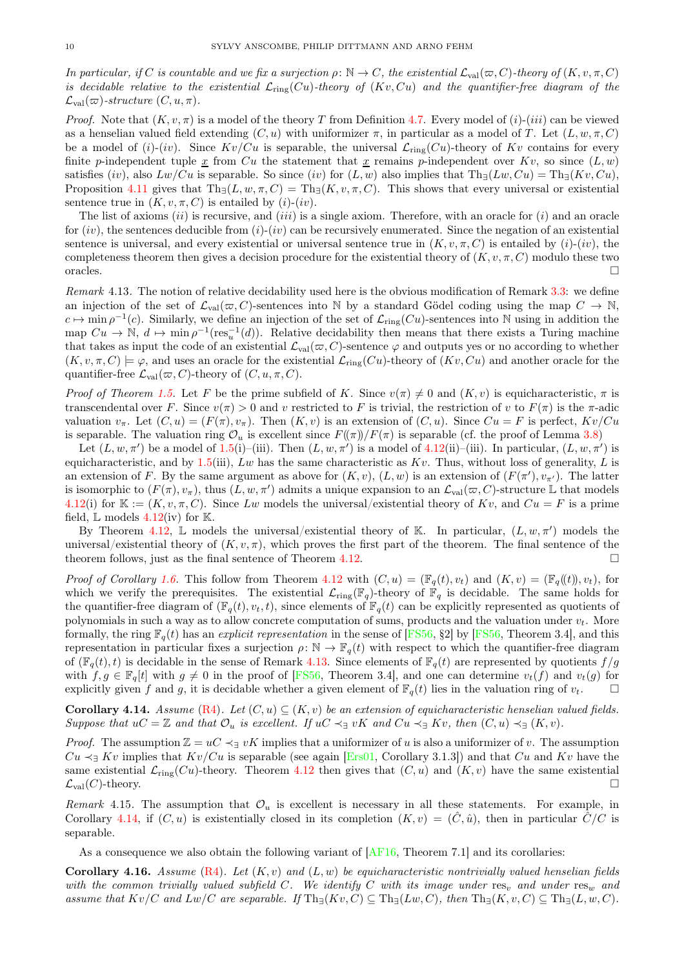In particular, if C is countable and we fix a surjection  $\rho: \mathbb{N} \to C$ , the existential  $\mathcal{L}_{val}(\varpi, C)$ -theory of  $(K, v, \pi, C)$ is decidable relative to the existential  $\mathcal{L}_{ring}(Cu)$ -theory of  $(Kv, Cu)$  and the quantifier-free diagram of the  $\mathcal{L}_{val}(\varpi)$ -structure  $(C, u, \pi)$ .

*Proof.* Note that  $(K, v, \pi)$  is a model of the theory T from Definition [4.7.](#page-7-4) Every model of  $(i)-(iii)$  can be viewed as a henselian valued field extending  $(C, u)$  with uniformizer  $\pi$ , in particular as a model of T. Let  $(L, w, \pi, C)$ be a model of  $(i)-(iv)$ . Since  $Kv/Cu$  is separable, the universal  $\mathcal{L}_{\text{ring}}(Cu)$ -theory of  $Kv$  contains for every finite p-independent tuple  $\underline{x}$  from  $Cu$  the statement that  $\underline{x}$  remains p-independent over  $Kv$ , so since  $(L, w)$ satisfies (iv), also  $Lw/Cu$  is separable. So since (iv) for  $(L, w)$  also implies that  $Th_{\exists}(Lw, Cu) = Th_{\exists}(Kv, Cu),$ Proposition [4.11](#page-8-2) gives that  $\text{Th}_{\exists}(L, w, \pi, C) = \text{Th}_{\exists}(K, v, \pi, C)$ . This shows that every universal or existential sentence true in  $(K, v, \pi, C)$  is entailed by  $(i)-(iv)$ .

The list of axioms  $(ii)$  is recursive, and  $(iii)$  is a single axiom. Therefore, with an oracle for  $(i)$  and an oracle for  $(iv)$ , the sentences deducible from  $(i)-(iv)$  can be recursively enumerated. Since the negation of an existential sentence is universal, and every existential or universal sentence true in  $(K, v, \pi, C)$  is entailed by  $(i)-(iv)$ , the completeness theorem then gives a decision procedure for the existential theory of  $(K, v, \pi, C)$  modulo these two oracles.

<span id="page-9-0"></span>Remark 4.13. The notion of relative decidability used here is the obvious modification of Remark [3.3:](#page-3-0) we define an injection of the set of  $\mathcal{L}_{val}(\varpi, C)$ -sentences into N by a standard Gödel coding using the map  $C \to \mathbb{N}$ ,  $c \mapsto \min \rho^{-1}(c)$ . Similarly, we define an injection of the set of  $\mathcal{L}_{\text{ring}}(Cu)$ -sentences into N using in addition the map  $Cu \to \mathbb{N}, d \mapsto \min \rho^{-1}(\text{res}_u^{-1}(d)).$  Relative decidability then means that there exists a Turing machine that takes as input the code of an existential  $\mathcal{L}_{val}(\varpi, C)$ -sentence  $\varphi$  and outputs yes or no according to whether  $(K, v, \pi, C) \models \varphi$ , and uses an oracle for the existential  $\mathcal{L}_{\text{ring}}(Cu)$ -theory of  $(Kv, Cu)$  and another oracle for the quantifier-free  $\mathcal{L}_{val}(\varpi, C)$ -theory of  $(C, u, \pi, C)$ .

Proof of Theorem [1.5.](#page-1-4) Let F be the prime subfield of K. Since  $v(\pi) \neq 0$  and  $(K, v)$  is equicharacteristic,  $\pi$  is transcendental over F. Since  $v(\pi) > 0$  and v restricted to F is trivial, the restriction of v to  $F(\pi)$  is the  $\pi$ -adic valuation  $v_{\pi}$ . Let  $(C, u) = (F(\pi), v_{\pi})$ . Then  $(K, v)$  is an extension of  $(C, u)$ . Since  $Cu = F$  is perfect,  $Kv/Cu$ is separable. The valuation ring  $\mathcal{O}_u$  is excellent since  $F(\pi)/F(\pi)$  is separable (cf. the proof of Lemma [3.8\)](#page-4-1)

Let  $(L, w, \pi')$  be a model of [1.5\(](#page-1-4)i)–(iii). Then  $(L, w, \pi')$  is a model of [4.12\(](#page-8-0)ii)–(iii). In particular,  $(L, w, \pi')$  is equicharacteristic, and by [1.5\(](#page-1-4)iii), Lw has the same characteristic as  $Kv$ . Thus, without loss of generality, L is an extension of F. By the same argument as above for  $(K, v)$ ,  $(L, w)$  is an extension of  $(F(\pi'), v_{\pi'})$ . The latter is isomorphic to  $(F(\pi), v_{\pi}),$  thus  $(L, w, \pi')$  admits a unique expansion to an  $\mathcal{L}_{val}(\varpi, C)$ -structure  $\mathbb L$  that models [4.12\(](#page-8-0)i) for  $\mathbb{K} := (K, v, \pi, C)$ . Since Lw models the universal/existential theory of Kv, and  $Cu = F$  is a prime field,  $\mathbb L$  models [4.12\(](#page-8-0)iv) for  $\mathbb K$ .

By Theorem [4.12,](#page-8-0)  $\mathbb L$  models the universal/existential theory of K. In particular,  $(L, w, \pi')$  models the universal/existential theory of  $(K, v, \pi)$ , which proves the first part of the theorem. The final sentence of the theorem follows, just as the final sentence of Theorem [4.12.](#page-8-0)

*Proof of Corollary [1.6.](#page-1-5)* This follow from Theorem [4.12](#page-8-0) with  $(C, u) = (\mathbb{F}_q(t), v_t)$  and  $(K, v) = (\mathbb{F}_q((t)), v_t)$ , for which we verify the prerequisites. The existential  $\mathcal{L}_{\text{ring}}(\mathbb{F}_q)$ -theory of  $\mathbb{F}_q$  is decidable. The same holds for the quantifier-free diagram of  $(\mathbb{F}_q(t), v_t, t)$ , since elements of  $\mathbb{F}_q(t)$  can be explicitly represented as quotients of polynomials in such a way as to allow concrete computation of sums, products and the valuation under  $v_t$ . More formally, the ring  $\mathbb{F}_q(t)$  has an explicit representation in the sense of [\[FS56,](#page-10-23) §2] by [FS56, Theorem 3.4], and this representation in particular fixes a surjection  $\rho: \mathbb{N} \to \mathbb{F}_q(t)$  with respect to which the quantifier-free diagram of  $(\mathbb{F}_q(t), t)$  is decidable in the sense of Remark [4.13.](#page-9-0) Since elements of  $\mathbb{F}_q(t)$  are represented by quotients  $f/q$ with  $f, g \in \mathbb{F}_q[t]$  with  $g \neq 0$  in the proof of [\[FS56,](#page-10-23) Theorem 3.4], and one can determine  $v_t(f)$  and  $v_t(g)$  for explicitly given f and g, it is decidable whether a given element of  $\mathbb{F}_r(t)$  lies in the valuation r explicitly given f and g, it is decidable whether a given element of  $\mathbb{F}_q(t)$  lies in the valuation ring of  $v_t$ .

<span id="page-9-1"></span>**Corollary 4.14.** Assume  $(R4)$ . Let  $(C, u) \subseteq (K, v)$  be an extension of equicharacteristic henselian valued fields. Suppose that  $uC = \mathbb{Z}$  and that  $\mathcal{O}_u$  is excellent. If  $uC \prec_{\exists} vK$  and  $Cu \prec_{\exists} Kv$ , then  $(C, u) \prec_{\exists} (K, v)$ .

*Proof.* The assumption  $\mathbb{Z} = uC \prec_{\exists} vK$  implies that a uniformizer of u is also a uniformizer of v. The assumption  $Cu \leq_1 Kv$  implies that  $Kv/Cu$  is separable (see again [\[Ers01,](#page-10-26) Corollary 3.1.3]) and that  $Cu$  and  $Kv$  have the same existential  $\mathcal{L}_{ring}(Cu)$ -theory. Theorem [4.12](#page-8-0) then gives that  $(C, u)$  and  $(K, v)$  have the same existential  $\mathcal{L}_{val}(C)$ -theory.  $\mathcal{L}_{\text{val}}(C)$ -theory.

Remark 4.15. The assumption that  $\mathcal{O}_u$  is excellent is necessary in all these statements. For example, in Corollary [4.14,](#page-9-1) if  $(C, u)$  is existentially closed in its completion  $(K, v) = (\hat{C}, \hat{u})$ , then in particular  $\hat{C}/C$  is separable.

As a consequence we also obtain the following variant of  $[AF16, Theorem 7.1]$  and its corollaries:

<span id="page-9-2"></span>Corollary 4.16. Assume  $(R4)$ . Let  $(K, v)$  and  $(L, w)$  be equicharacteristic nontrivially valued henselian fields with the common trivially valued subfield C. We identify C with its image under res<sub>v</sub> and under res<sub>w</sub> and assume that  $Kv/C$  and  $Lw/C$  are separable. If  $\text{Th}_{\exists}(Kv, C) \subseteq \text{Th}_{\exists}(Lw, C)$ , then  $\text{Th}_{\exists}(K, v, C) \subseteq \text{Th}_{\exists}(L, w, C)$ .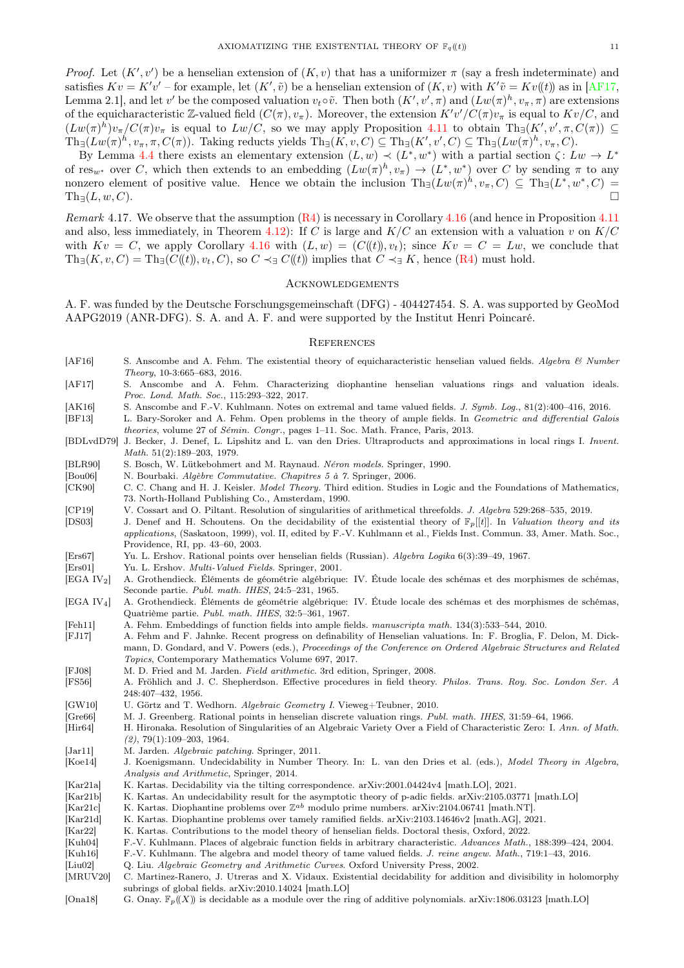Proof. Let  $(K', v')$  be a henselian extension of  $(K, v)$  that has a uniformizer  $\pi$  (say a fresh indeterminate) and satisfies  $Kv = K'v'$  – for example, let  $(K', \tilde{v})$  be a henselian extension of  $(K, v)$  with  $K'\tilde{v} = Kv(t)$  as in [\[AF17,](#page-10-33) Lemma 2.1, and let v' be the composed valuation  $v_t \circ \tilde{v}$ . Then both  $(K', v', \pi)$  and  $(Lw(\pi)^h, v_\pi, \pi)$  are extensions of the equicharacteristic Z-valued field  $(C(\pi), v_\pi)$ . Moreover, the extension  $K'v'/C(\pi)v_\pi$  is equal to  $Kv/C$ , and  $(Lw(\pi)^h)v_{\pi}/C(\pi)v_{\pi}$  is equal to  $Lw/C$ , so we may apply Proposition [4.11](#page-8-2) to obtain  $\text{Th}_{\exists}(K',v',\pi,C(\pi)) \subseteq$  $\text{Th}_{\exists}(Lw(\pi)^h, v_\pi, \pi, C(\pi)).$  Taking reducts yields  $\text{Th}_{\exists}(K, v, C) \subseteq \text{Th}_{\exists}(K', v', C) \subseteq \text{Th}_{\exists}(Lw(\pi)^h, v_\pi, C)$ .

By Lemma [4.4](#page-7-0) there exists an elementary extension  $(L, w) \prec (L^*, w^*)$  with a partial section  $\zeta: Lw \to L^*$ of  $res_{w^*}$  over C, which then extends to an embedding  $(Lw(\pi)^h, v_\pi) \to (L^*, w^*)$  over C by sending  $\pi$  to any nonzero element of positive value. Hence we obtain the inclusion  $\text{Th}_{\exists}(Lw(\pi)^{h}, v_{\pi}, C) \subseteq \text{Th}_{\exists}(L^{*}, w^{*}, C) =$  $\text{Th}_{\exists}(L, w, C).$ 

<span id="page-10-8"></span>Remark 4.17. We observe that the assumption [\(R4\)](#page-2-1) is necessary in Corollary [4.16](#page-9-2) (and hence in Proposition [4.11](#page-8-2) and also, less immediately, in Theorem [4.12\)](#page-8-0): If C is large and  $K/C$  an extension with a valuation v on  $K/C$ with  $Kv = C$ , we apply Corollary [4.16](#page-9-2) with  $(L, w) = (C(\ell t)), v_t$ ; since  $Kv = C = Lw$ , we conclude that  $\text{Th}_{\exists}(K, v, C) = \text{Th}_{\exists}(C(\mathcal{C}(t)), v_t, C),$  so  $C \prec_{\exists} C(\mathcal{C}(t))$  implies that  $C \prec_{\exists} K$ , hence  $(R4)$  must hold.

## **ACKNOWLEDGEMENTS**

A. F. was funded by the Deutsche Forschungsgemeinschaft (DFG) - 404427454. S. A. was supported by GeoMod AAPG2019 (ANR-DFG). S. A. and A. F. and were supported by the Institut Henri Poincaré.

#### **REFERENCES**

- <span id="page-10-2"></span>[AF16] S. Anscombe and A. Fehm. The existential theory of equicharacteristic henselian valued fields. Algebra & Number Theory, 10-3:665–683, 2016.
- <span id="page-10-33"></span>[AF17] S. Anscombe and A. Fehm. Characterizing diophantine henselian valuations rings and valuation ideals. Proc. Lond. Math. Soc., 115:293–322, 2017.
- <span id="page-10-31"></span>[AK16] S. Anscombe and F.-V. Kuhlmann. Notes on extremal and tame valued fields. J. Symb. Log., 81(2):400–416, 2016.
- <span id="page-10-15"></span>[BF13] L. Bary-Soroker and A. Fehm. Open problems in the theory of ample fields. In Geometric and differential Galois theories, volume 27 of Sémin. Congr., pages 1–11. Soc. Math. France, Paris, 2013.
- <span id="page-10-22"></span>[BDLvdD79] J. Becker, J. Denef, L. Lipshitz and L. van den Dries. Ultraproducts and approximations in local rings I. Invent. Math. 51(2):189–203, 1979.
- <span id="page-10-32"></span>[BLR90] S. Bosch, W. Lütkebohmert and M. Raynaud. Néron models. Springer, 1990.
- <span id="page-10-29"></span>[Bou06] N. Bourbaki. Algèbre Commutative. Chapitres 5 à 7. Springer, 2006.
- <span id="page-10-30"></span>[CK90] C. C. Chang and H. J. Keisler. *Model Theory*. Third edition. Studies in Logic and the Foundations of Mathematics, 73. North-Holland Publishing Co., Amsterdam, 1990.
- <span id="page-10-17"></span>[CP19] V. Cossart and O. Piltant. Resolution of singularities of arithmetical threefolds. J. Algebra 529:268–535, 2019.
- <span id="page-10-1"></span>[DS03] J. Denef and H. Schoutens. On the decidability of the existential theory of  $\mathbb{F}_p[[t]]$ . In Valuation theory and its applications, (Saskatoon, 1999), vol. II, edited by F.-V. Kuhlmann et al., Fields Inst. Commun. 33, Amer. Math. Soc., Providence, RI, pp. 43–60, 2003.
- <span id="page-10-13"></span>[Ers67] Yu. L. Ershov. Rational points over henselian fields (Russian). Algebra Logika 6(3):39–49, 1967.
- <span id="page-10-26"></span>[Ers01] Yu. L. Ershov. *Multi-Valued Fields*. Springer, 2001.
- <span id="page-10-18"></span>[EGA IV2] A. Grothendieck. Éléments de géométrie algébrique: IV. Étude locale des schémas et des morphismes de schémas, Seconde partie. Publ. math. IHES, 24:5–231, 1965.
- <span id="page-10-24"></span>[EGA IV4] A. Grothendieck. Éléments de géométrie algébrique: IV. Étude locale des schémas et des morphismes de schémas, Quatrième partie. Publ. math. IHES, 32:5–361, 1967.
- <span id="page-10-11"></span>[Feh11] A. Fehm. Embeddings of function fields into ample fields. manuscripta math. 134(3):533–544, 2010.
- <span id="page-10-28"></span>[FJ17] A. Fehm and F. Jahnke. Recent progress on definability of Henselian valuations. In: F. Broglia, F. Delon, M. Dickmann, D. Gondard, and V. Powers (eds.), Proceedings of the Conference on Ordered Algebraic Structures and Related Topics, Contemporary Mathematics Volume 697, 2017.
- <span id="page-10-10"></span>[FJ08] M. D. Fried and M. Jarden. Field arithmetic. 3rd edition, Springer, 2008.
- <span id="page-10-23"></span>[FS56] A. Fröhlich and J. C. Shepherdson. Effective procedures in field theory. Philos. Trans. Roy. Soc. London Ser. A 248:407–432, 1956.
- <span id="page-10-25"></span>[GW10] U. Görtz and T. Wedhorn. Algebraic Geometry I. Vieweg+Teubner, 2010.
- <span id="page-10-21"></span>[Gre66] M. J. Greenberg. Rational points in henselian discrete valuation rings. Publ. math. IHES, 31:59–64, 1966.
- <span id="page-10-16"></span>[Hir64] H. Hironaka. Resolution of Singularities of an Algebraic Variety Over a Field of Characteristic Zero: I. Ann. of Math.  $(2), 79(1):109-203, 1964.$
- <span id="page-10-14"></span>[Jar11] M. Jarden. Algebraic patching. Springer, 2011.
- <span id="page-10-0"></span>[Koe14] J. Koenigsmann. Undecidability in Number Theory. In: L. van den Dries et al. (eds.), Model Theory in Algebra, Analysis and Arithmetic, Springer, 2014.
- <span id="page-10-5"></span>[Kar21a] K. Kartas. Decidability via the tilting correspondence. arXiv:2001.04424v4 [math.LO], 2021.
- <span id="page-10-6"></span>[Kar21b] K. Kartas. An undecidability result for the asymptotic theory of p-adic fields. arXiv:2105.03771 [math.LO]
- <span id="page-10-7"></span> $[Kar21c]$  K. Kartas. Diophantine problems over  $\mathbb{Z}^{ab}$  modulo prime numbers. arXiv:2104.06741 [math.NT].
- <span id="page-10-19"></span>[Kar21d] K. Kartas. Diophantine problems over tamely ramified fields. arXiv:2103.14646v2 [math.AG], 2021.
- <span id="page-10-20"></span>[Kar22] K. Kartas. Contributions to the model theory of henselian fields. Doctoral thesis, Oxford, 2022.
- <span id="page-10-12"></span>[Kuh04] F.-V. Kuhlmann. Places of algebraic function fields in arbitrary characteristic. Advances Math., 188:399–424, 2004.
- <span id="page-10-27"></span>[Kuh16] F.-V. Kuhlmann. The algebra and model theory of tame valued fields. J. reine angew. Math., 719:1–43, 2016.
- <span id="page-10-9"></span>[Liu02] Q. Liu. Algebraic Geometry and Arithmetic Curves. Oxford University Press, 2002.
- <span id="page-10-4"></span>[MRUV20] C. Martinez-Ranero, J. Utreras and X. Vidaux. Existential decidability for addition and divisibility in holomorphy subrings of global fields. arXiv:2010.14024 [math.LO]
- <span id="page-10-3"></span>[Ona18] G. Onay.  $\mathbb{F}_p(X)$  is decidable as a module over the ring of additive polynomials. arXiv:1806.03123 [math.LO]